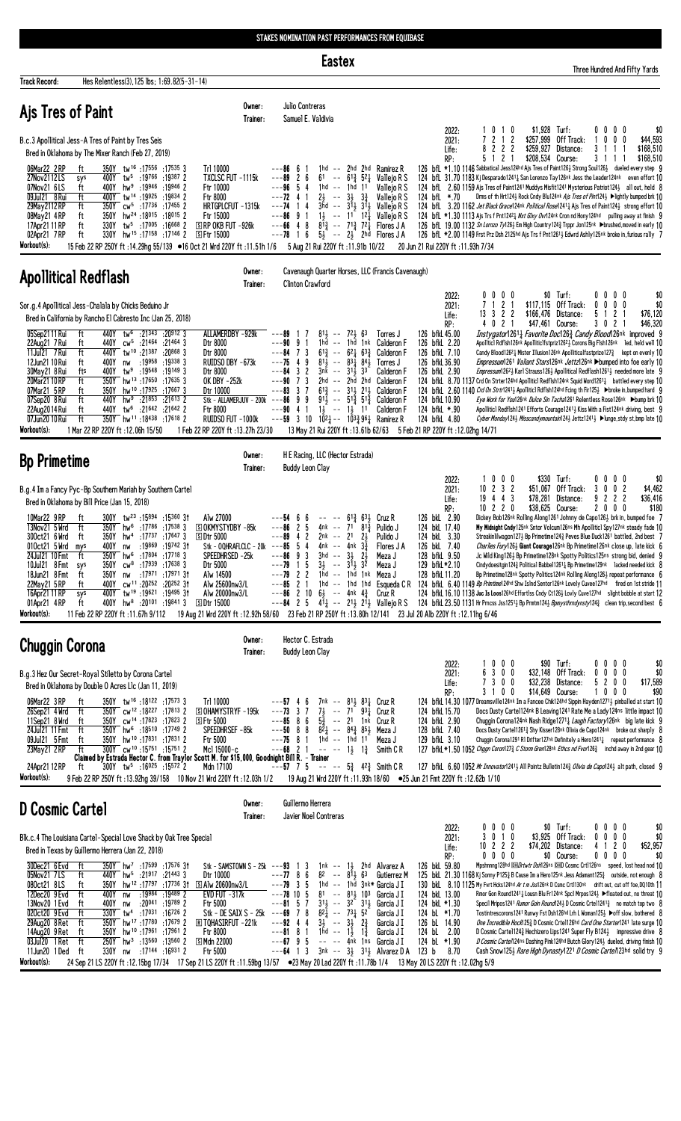**Eastex** 

Three Hundred And Fifty Yards

| Hes Relentless(3), 125 lbs; 1:69.82(5-31-14)<br><b>Track Record:</b>                                                                                                                                                                                                                                                                                                                                                                                                                                                                                                                                                                                                                                                                                                |                                                                                                                                                                                                                                                      |                                                                                                                                                                                                                                                                                                                                                                                                                                                                                                                                                                                                                                                                                                                                                                                                                            |                                                                                                                                                                                                                                         |                                                                                                                                                                                                                                                                                                                                                                                                                                                                                                                                                                                                                                                                                                                                                                                                                                                                                                                                                                                                                                                                                                         |
|---------------------------------------------------------------------------------------------------------------------------------------------------------------------------------------------------------------------------------------------------------------------------------------------------------------------------------------------------------------------------------------------------------------------------------------------------------------------------------------------------------------------------------------------------------------------------------------------------------------------------------------------------------------------------------------------------------------------------------------------------------------------|------------------------------------------------------------------------------------------------------------------------------------------------------------------------------------------------------------------------------------------------------|----------------------------------------------------------------------------------------------------------------------------------------------------------------------------------------------------------------------------------------------------------------------------------------------------------------------------------------------------------------------------------------------------------------------------------------------------------------------------------------------------------------------------------------------------------------------------------------------------------------------------------------------------------------------------------------------------------------------------------------------------------------------------------------------------------------------------|-----------------------------------------------------------------------------------------------------------------------------------------------------------------------------------------------------------------------------------------|---------------------------------------------------------------------------------------------------------------------------------------------------------------------------------------------------------------------------------------------------------------------------------------------------------------------------------------------------------------------------------------------------------------------------------------------------------------------------------------------------------------------------------------------------------------------------------------------------------------------------------------------------------------------------------------------------------------------------------------------------------------------------------------------------------------------------------------------------------------------------------------------------------------------------------------------------------------------------------------------------------------------------------------------------------------------------------------------------------|
| Ajs Tres of Paint                                                                                                                                                                                                                                                                                                                                                                                                                                                                                                                                                                                                                                                                                                                                                   | Owner:<br>Trainer:                                                                                                                                                                                                                                   | Julio Contreras<br>Samuel E. Valdivia                                                                                                                                                                                                                                                                                                                                                                                                                                                                                                                                                                                                                                                                                                                                                                                      |                                                                                                                                                                                                                                         |                                                                                                                                                                                                                                                                                                                                                                                                                                                                                                                                                                                                                                                                                                                                                                                                                                                                                                                                                                                                                                                                                                         |
| B.c.3 Apollitical Jess-A Tres of Paint by Tres Seis<br>Bred in Oklahoma by The Mixer Ranch (Feb 27, 2019)                                                                                                                                                                                                                                                                                                                                                                                                                                                                                                                                                                                                                                                           |                                                                                                                                                                                                                                                      |                                                                                                                                                                                                                                                                                                                                                                                                                                                                                                                                                                                                                                                                                                                                                                                                                            | 2022:<br>1010<br>7 2 1 2<br>2021:<br>8222<br>Life:<br>5 1 2 1<br>RP:                                                                                                                                                                    | \$1,928 Turf:<br>$0\,0\,0\,0$<br>\$0<br>\$257,999 Off Track:<br>1000<br>\$44,593<br>\$259,927 Distance:<br>3 1 1 1<br>\$168,510<br>\$208,534 Course:<br>\$168,510<br>3 1 1 1                                                                                                                                                                                                                                                                                                                                                                                                                                                                                                                                                                                                                                                                                                                                                                                                                                                                                                                            |
| 350Y tw <sup>16</sup> :17556:175353<br>06Mar22 2RP<br>ft<br>27Nov2112LS<br>400Y tw <sup>5</sup> :19766 :19387 2<br>sys<br>07Nov21 6LS<br>ft<br>400Y hw <sup>9</sup> :19946 :19946 2<br>09Jul21 8 Rui<br>400Y tw <sup>14</sup> :19925:19834 2<br>ft<br>29May 2112 RP<br>ft<br>350Y cw <sup>5</sup> :17736 :17455 2<br>08May21 4RP<br>ft<br>350Y hw <sup>24</sup> :18015:18015 2<br>330Y tw <sup>5</sup> :17005 :16668 2<br>17Apr21 11 RP<br>ft<br>330Y hw <sup>15</sup> :17158:17146 2<br>02Apr21 7RP<br>ft<br>Workout(s):                                                                                                                                                                                                                                           | Trl 10000<br>TXCLSC FUT -1115k<br>Ftr 10000<br>Ftr 8000<br>HRTGPLCFUT -1315k<br>Ftr 15000<br>S RP OKB FUT -926k<br><b>SFtr 15000</b>                                                                                                                 | 1hd $-$ 2hd 2hd Ramirez R<br>---86<br>6<br>$---89$<br>$\mathbf{2}$<br>6<br>$61 - -$<br>$6^{13}$ 5 <sup>2</sup> <sup>1</sup> Vallejo R S<br>54<br>$1hd - -$<br>---96<br>1hd 11<br>$---72$ 4 1<br>$2\frac{1}{2}$ -- $3\frac{1}{2}$ $3\frac{3}{4}$<br>$3\bar{h}$ d -- $3\bar{1}$ $3\bar{1}$ Vallejo R S<br>$---74$<br>14<br>$1\frac{1}{2}$ -- $1^{\frac{1}{2}}$ $1^{\frac{3}{4}}$ Vallejo R S<br>$---86$ 9 1<br>$---66$ 4 8<br>$8^{1/3}$ -- $7^{1/3}$ $7^{2/3}$ Flores JA<br>6<br>$5\frac{1}{2}$ -- $2\frac{1}{2}$ 2hd Flores JA<br>---78<br>$\overline{1}$<br>15 Feb 22 RP 250Y ft:14.29hg 55/139 ●16 Oct 21 Wrd 220Y ft:11.51h 1/6 5 Aug 21 Rui 220Y ft:11.91b 10/22                                                                                                                                                        | Valleio R S<br>Vallejo R S<br>124 bfL *.70<br>20 Jun 21 Rui 220Y ft: 11.93h 7/34                                                                                                                                                        | 126 bfL *1.10 1146 Sabbatical Jess124hd Ajs Tres of Paint126} Strong Soul126} dueled every step 9<br>124 bfl 31.70 1183 Kj Desparado1241 San Lorenzo Tay126nk Jess the Leader124nk even effort 10<br>124 bfl 2.60 1159 Ajs Tres of Paint1241 Muddys Misfit1241 Mysterious Patriot124} all out, held 8<br>Drms of th Hrt124½ Rock Cndy Blu124nk Ajs Tres of Pint124½ ▶lightly bumped brk 10<br>124 bfl. 3.20 1162 Jet Black Grace124nk Political Rose12414 Ais Tres of Paint1243 strong effort 10<br>124 bfl *1.30 1113 Ajs Trs f Pnt1242 3 Nxt Glxy Ovr124nk Cron nd Hony124hd pulling away at finish 9<br>126 bfL 19.00 1132 Sn Lornzo Ty1263 Em High Country 1243 Trppr Jon125nk >brushed, moved in early 10<br>126 bfL *2.00 1149 Frst Prz Dsh 2125hd Ajs Trs f Pnt1261 <sub>2</sub> Edwrd Ashly125nk broke in, furious rally 7                                                                                                                                                                                                                                                                      |
| <b>Apollitical Redflash</b>                                                                                                                                                                                                                                                                                                                                                                                                                                                                                                                                                                                                                                                                                                                                         | Owner:<br>Trainer:                                                                                                                                                                                                                                   | Cavenaugh Quarter Horses, LLC (Francis Cavenaugh)<br><b>Clinton Crawford</b>                                                                                                                                                                                                                                                                                                                                                                                                                                                                                                                                                                                                                                                                                                                                               |                                                                                                                                                                                                                                         |                                                                                                                                                                                                                                                                                                                                                                                                                                                                                                                                                                                                                                                                                                                                                                                                                                                                                                                                                                                                                                                                                                         |
| Sor.g.4 Apollitical Jess-Chalala by Chicks Beduino Jr<br>Bred in California by Rancho El Cabresto Inc (Jan 25, 2018)                                                                                                                                                                                                                                                                                                                                                                                                                                                                                                                                                                                                                                                |                                                                                                                                                                                                                                                      |                                                                                                                                                                                                                                                                                                                                                                                                                                                                                                                                                                                                                                                                                                                                                                                                                            | $0\,0\,0$<br>2022:<br>0<br>2 <sub>1</sub><br>7 <sub>1</sub><br>2021:<br>13    3    2    2<br>Life:                                                                                                                                      | \$0 Turf:<br>$0\ 0\ 0\ 0$<br>\$0<br>\$117,115 Off Track:<br>$0\ 0\ 0\ 0$<br>\$0<br>\$166,476 Distance:<br>5 1 2 1<br>\$76,120                                                                                                                                                                                                                                                                                                                                                                                                                                                                                                                                                                                                                                                                                                                                                                                                                                                                                                                                                                           |
| 05Sep2111 Rui<br>440Y tw <sup>6</sup> :21343 :20912 3<br>ft<br>22Aug21 7 Rui<br>440Y cw <sup>5</sup> :21464 :21464 3<br>ft<br>11Jul21 7 Rui<br>ft<br>440Y tw <sup>10</sup> :21387:208683<br>12Jun21 10 Rui<br>:19958 :19338 3<br>ft<br>400Y nw<br>30May21 8 Rui<br>tw <sup>9</sup> :19548 :19149 3<br>fts<br>400Y<br>20Mar21 10 RP<br>ft<br>350Y hw <sup>13</sup> :17650:176353<br>350Y hw <sup>10</sup> :17925:176673<br>07Mar21 5RP<br>ft<br>hw <sup>9</sup> :21853 :21613 2<br>07Sep20 8 Rui<br>ft<br>440Y<br>22Aug2014 Rui<br>ft<br>440Y tw <sup>6</sup> :21642 :21642 2<br>350Y hw <sup>11</sup> :18438:17618 2<br>ft<br>07Jun20 10 Rui<br>Workout(s):<br>1 Mar 22 RP 220Y ft : 12.06h 15/50                                                                   | ALLAMERDBY -929k<br>Dtr 8000<br>Dtr 8000<br>RUIDSO DBY -673k<br>Dtr 8000<br>OK DBY -252k<br>Dtr 10000<br>Stk - ALLAMERJUV - 200k<br>Ftr 8000<br>RUIDSO FUT -1000k<br>1 Feb 22 RP 220Y ft : 13.27h 23/30                                              | $81\frac{1}{2}$ --<br>$72\frac{1}{2}63$<br>---89<br>Torres J<br>1hd -- 1hd 1nk Calderon F<br>$---90$ 9 1<br>$6^{13}$ -- $6^{2}$ $4^{63}$ Calderon F<br>$---84$ 7 3<br>$---75$ 4 9<br>$81\frac{1}{2}$ -- $83\frac{1}{4}$ $84\frac{1}{2}$<br>Torres J<br>3 <sub>2</sub><br>$3n\bar{k}$ --<br>$31\frac{1}{2}$ 3 <sup>3</sup><br>---84<br>Calderon F<br>7 3<br>2hd -- 2hd 2hd Calderon F<br>---90<br>$---83$ 3 7<br>$6^{13}$ -- $3^{11}$ $2^{11}$ Calderon F<br>99<br>$9^{11}$ -- $5^{12}$ $5^{13}$ Calderon F<br>---86<br>4 1 $1\frac{1}{2}$ -- $1\frac{1}{2}$ 11 Calderon F<br>---90<br>$---59$ 3 10 $10^{24}$ $--- 10^{33}$ $96^{1}_{4}$ Ramirez R                                                                                                                                                                          | 4 0 2 1<br>RP:<br>126 bfkL 45.00<br>126 bfkL 2.20<br>126 bfkL 7.10<br>126 bfkL 36.90<br>126 bfkL 2.90<br>124 bfkL 10.90<br>124 bfkL *.90<br>124 bfkL 4.80<br>13 May 21 Rui 220Y ft: 13.61b 62/63 5 Feb 21 RP 220Y ft: 12.02hg 14/71     | \$47,461 Course:<br>3 0 2 1<br>\$46,320<br>Instygator12611 Favorite Doc1263 Candy Blood126nk improved 9<br>Apolitici Rdflsh126nk Apoliiticifstpriz12621 Corons Big Fish126nk led, held well 10<br>Candy Blood1262 $\frac{1}{4}$ Mister Illusion126nk Apolliticalfastprize127 $\frac{3}{4}$ kept on evenly 10<br><i>Empressum</i> 1261 <i>Valiant Stars</i> 126 <sup>nk</sup> Jettz126nk >bumped into foe early 10<br>Empressum12623 Karl Strauss1263 Apollitical Redflash12613 needed more late 9<br>124 bfkL 8.70 1137 Crd On Strter124hd Apolliticl Redflsh124nk Squid Word1261 <sub>1</sub> battled every step 10<br>124 bfkl 2.60 1140 Crd On Strtr12413 Apolliticl Rdflsh124hd Fcing th Fir1253 > broke in, bumped hard 9<br>Eye Work for You126nk Dulce Sin Tacha1261 Relentless Rose126nk Dbump brk 10<br>Apolliticl Redflsh1241 Efforts Courage12413 Kiss With a Fist124nk driving, best 9<br>Cyber Monday124} Misscandymountain124} Jettz1241} ▶lunge, stdy st, bmp late 10                                                                                                                    |
| <b>Bp Primetime</b>                                                                                                                                                                                                                                                                                                                                                                                                                                                                                                                                                                                                                                                                                                                                                 | Owner:<br>Trainer:                                                                                                                                                                                                                                   | H E Racing, LLC (Hector Estrada)<br><b>Buddy Leon Clay</b>                                                                                                                                                                                                                                                                                                                                                                                                                                                                                                                                                                                                                                                                                                                                                                 |                                                                                                                                                                                                                                         |                                                                                                                                                                                                                                                                                                                                                                                                                                                                                                                                                                                                                                                                                                                                                                                                                                                                                                                                                                                                                                                                                                         |
| B.g.4 Im a Fancy Pyc-Bp Southern Mariah by Southern Cartel<br>Bred in Oklahoma by Bill Price (Jan 15, 2018)                                                                                                                                                                                                                                                                                                                                                                                                                                                                                                                                                                                                                                                         |                                                                                                                                                                                                                                                      |                                                                                                                                                                                                                                                                                                                                                                                                                                                                                                                                                                                                                                                                                                                                                                                                                            | 1 0 0 0<br>2022:<br>$10 \t2 \t3 \t2$<br>2021:<br>$19$ 4 4 3<br>Life:<br>$10$ 2 2 0                                                                                                                                                      | \$330 Turf:<br>$0\ 0\ 0\ 0$<br>\$0<br>\$51,067 Off Track:<br>30<br>0 <sub>2</sub><br>\$4,462<br>\$78,281 Distance:<br>9 2 2 2<br>\$36,416<br>\$38.625 Course:                                                                                                                                                                                                                                                                                                                                                                                                                                                                                                                                                                                                                                                                                                                                                                                                                                                                                                                                           |
| 10Mar22 9RP<br>ft<br>$300Y$ tw <sup>23</sup> :15894 :15360 31<br>13Nov21 5 Wrd<br>ft<br>350Y hw <sup>6</sup> :17786 :17538 3<br>300ct21 6 Wrd<br>350Y hw <sup>4</sup> :17737 :17647 3<br>ft<br>010ct21 5 Wrd mys<br>:19869 :19742 3†<br>400Y<br>nw<br>350Y hw <sup>6</sup> :17804:177183<br>24Ju121 10 Fmt<br>ft<br>350Y cw <sup>8</sup> :17939 :17638 3<br>10Jul21 8 Fmt sys<br>350Y nw<br>18Jun21 8 Fmt<br>17 <sup>971</sup> :17 <sup>971</sup> 3 <del>1</del><br>ft<br>400Y cw <sup>11</sup> :20 <sup>252</sup> :20 <sup>252</sup> 31<br>22May21 5 RP<br>ft<br>400Y tw <sup>19</sup> :19621:19495 3t<br>16Apr21 11 RP<br>sys<br>01Apr21 4RP<br>19841 3. 20101 19841 4<br>ft<br>Workout(s):                                                                       | Alw 27000<br><b>SOKMYSTYDBY-85k</b><br><b>SDtr 5000</b><br>Stk - OQHRAFLCLC - 20k<br>SPEEDHRSED -25k<br>Dtr 5000<br>Alw 14500<br>Alw 25600nw3/L<br>Alw 20000nw3/L<br><b>SDtr 15000</b>                                                               | $61\frac{3}{4}$ 631 Cruz R<br>6<br>---54<br>6<br>$\qquad \qquad \  \  \, - - -$<br>$\mathbf{2}$<br>5<br>---86<br>71 $8^{1\frac{3}{4}}$ Pulido J<br>4nk --<br>$---89$ 4 2<br>$2nk$ -- $21$ $23$<br>Pulido J<br>$--85$ 5 4<br>4nk -- 4nk $3\frac{3}{4}$<br>Flores J A<br>$---86$ 9 3<br>$3hd$ -- $3\frac{1}{2}$ $2\frac{1}{2}$<br>$3\frac{1}{2}$ -- $31\frac{1}{2}$ $3\frac{1}{2}$<br>Meza J<br>$\overline{5}$<br>$---79$<br>-1<br>Meza J<br>$---79$ 2 2<br>1hd -- 1hd 1nk MezaJ<br>$---85$ 2 1 1hd $---1$ 1hd 1hd Esqueda CR<br>$- -86$ 2 10 $6\frac{1}{2}$ -- 4nk $4\frac{3}{4}$ Cruz R<br>$---84$ 2 5 $4\overline{1}_4$ $--- 21\frac{1}{2}$ $21\frac{1}{2}$ Vallejo R S<br>11 Feb 22 RP 220Y ft :11.67h 9/112 19 Aug 21 Wrd 220Y ft :12.92h 58/60 23 Feb 21 RP 250Y ft :13.80h 12/141 23 Jul 20 Alb 220Y ft :12.11hg 6/46 | RP:<br>126 bkL 2.90<br>124 bkL 17.40<br>124 bkL 3.30<br>126 bkL 7.40<br>128 bfkL 9.50<br>129 bfkL*2.10<br>128 bfkL 11.20                                                                                                                | 2000<br>\$180<br>Dickey Bob126nk Rolling Along1261 Johnny de Capo126} brk in, bumped foe 7<br>My Midnight Cndy125nk Sntor Volcum126ns Mh Apolliticl Spy127nk steady fade 10<br>Streakinlilwagon127} Bp Primetime124} Peves Blue Duck1261 battled, 2nd best 7<br>Charlies Fury1263 Giant Courage126nk Bp Primetime126nk close up, late kick 6<br>Jc Wild King1263 Bp Primetime128nk Spotty Politics125ns strong bid, denied 9<br>Cindydoesitgin1243 Political Babbel12613 Bp Primetime129nk lacked needed kick 8<br>Bp Primetime128nk Spotty Politics124nk Rolling Along1263 repeat performance 6<br>124 bfkl 6.40 1149 Bp Primtime124hd Shw Islnd Sentor126nk Lovely Cuvee127hd fired on 1st stride 11<br>124 bfkl 16.10 1138 Juc Is Loos126hd Effortlss Cndy Ct126} Lovly Cuve127hd slight bobble at start 12<br>124 bfkL 23.50 1131 Hr Prncss Jss1251 <sub>2</sub> Bp Prmtm124 <sub>2</sub> Bomysthrndynsty124 <sub>2</sub> clean trip, second best 6                                                                                                                                                 |
| <b>Chuggin Corona</b>                                                                                                                                                                                                                                                                                                                                                                                                                                                                                                                                                                                                                                                                                                                                               | Owner:<br>Trainer:                                                                                                                                                                                                                                   | Hector C. Estrada<br><b>Buddy Leon Clay</b>                                                                                                                                                                                                                                                                                                                                                                                                                                                                                                                                                                                                                                                                                                                                                                                |                                                                                                                                                                                                                                         |                                                                                                                                                                                                                                                                                                                                                                                                                                                                                                                                                                                                                                                                                                                                                                                                                                                                                                                                                                                                                                                                                                         |
| B.g.3 Hez Our Secret-Royal Stiletto by Corona Cartel<br>Bred in Oklahoma by Double O Acres Llc (Jan 11, 2019)<br>06Mar22 3 RP<br>350Y tw <sup>16</sup> :18122 :17573 3<br>ft<br>26Sep21 4 Wrd ft<br>350Y cw <sup>12</sup> :18227 :17813 2<br>11Sep21 8 Wrd<br>350Y cw <sup>14</sup> :17823:17823 2<br>ft<br>24Jul21 11 Fmt<br>350Y hw <sup>6</sup> :18510 :17749 2<br>ft<br>09Jul21 5 Fmt<br>ft<br>350Y hw <sup>10</sup> :17831:178312<br>300Y cw <sup>10</sup> :15751:157512<br>23May21 2RP<br>ft<br>24Apr21 12 RP<br>$500Y$ tw <sup>5</sup> :16025 :15572 2<br>ft<br>Workout(s):<br>9 Feb 22 RP 250Y ft :13.92hg 39/158 10 Nov 21 Wrd 220Y ft :12.03h 1/2                                                                                                         | Trl 10000<br><b>SOHAMYSTRYF-195k</b><br><b>SFtr 5000</b><br>SPEEDHRSEF-85k<br>Ftr 5000<br>Mcl 15000-c<br>Claimed by Estrada Hector C. from Traylor Scott M. for \$15,000, Goodnight Bill R. - Trainer<br>Mdn 17100                                   | $---57$ 4 6<br>7nk -- 811 831 Cruz R<br>$---73$ 3 7<br>$7\frac{1}{2}$ -- 71 $93\frac{1}{4}$ Cruz R<br>$---85$ 8 6<br>$5\frac{3}{4}$ -- 21 1nk Cruz R<br>$-$ -50 8 8 $8\frac{3}{4}$ -- $8\frac{43}{4}$ $8\frac{51}{2}$ Meza J<br>$---75$ 8 1 1 hd $---1$ hd 1 <sup>1</sup> Meza J<br>$---68$ 2 1 $---$ 1 $\frac{1}{2}$ 1 $\frac{3}{4}$ Smith CR<br>$--- 5^3_4$ 4 <sup>2</sup> 3 Smith C R<br>$--57$ 7 5                                                                                                                                                                                                                                                                                                                                                                                                                     | 2022:<br>1000<br>6300<br>2021:<br>7300<br>Life:<br>3100<br>RP:<br>124 bfkL 15.70<br>124 bfkL 2.90<br>128 bfkL 7.40<br>129 bfkL 3.10<br>19 Aug 21 Wrd 220Y ft :11.93h 18/60 ● 25 Jun 21 Fmt 220Y ft :12.62b 1/10                         | \$90 Turf:<br>$0\,0\,0\,0$<br>\$0<br>\$32,148 Off Track:<br>$0\,0\,0\,0$<br>\$0<br>\$32,238 Distance:<br>\$17,589<br>5200<br>\$14,649 Course:<br>1000<br>\$90<br>124 bfkl 14.30 1077 Dreamsville124nk Im a Fancee Chik124hd Sippin Hayden12713 pinballed at start 10<br>Docs Dusty Cartel124nk B Leaving1241 Rate Me a Lady124ns little impact 10<br>Chuggin Corona124nk Nash Ridge12711 Laugh Factory126nk big late kick 9<br>Docs Dusty Cartel1261 <sup>3</sup> Shy Kisser128nk Olivia de Capo124nk broke out sharply 8<br>Chuggin Corona1291 R1 Drifter127nk Definitely a Hero12411 repeat performance 8<br>127 bfkL *1.50 1052 Chggn Coron1273 C Storm Gren128nk Ethcs nd Fvor1263 inchd away in 2nd gear 10<br>127 bfkl 6.60 1052 Mr Innovator12411 All Pointz Bulletin1243 Olivia de Capo1241 alt path, closed 9                                                                                                                                                                                                                                                                                  |
| D Cosmic Cartel                                                                                                                                                                                                                                                                                                                                                                                                                                                                                                                                                                                                                                                                                                                                                     | Owner:<br>Trainer:                                                                                                                                                                                                                                   | Guillermo Herrera<br>Javier Noel Contreras                                                                                                                                                                                                                                                                                                                                                                                                                                                                                                                                                                                                                                                                                                                                                                                 |                                                                                                                                                                                                                                         |                                                                                                                                                                                                                                                                                                                                                                                                                                                                                                                                                                                                                                                                                                                                                                                                                                                                                                                                                                                                                                                                                                         |
| Blk.c.4 The Louisiana Cartel-Special Love Shack by Oak Tree Special<br>Bred in Texas by Guillermo Herrera (Jan 22, 2018)<br>30Dec21 6 Evd<br>ft<br>350Y hw <sup>7</sup> :17599 :17576 31<br>05Nov21 7LS<br>ft<br>440Y hw <sup>5</sup> :21917 :21443 3<br>080ct21 8LS<br>ft<br>:19984 :19489 2<br>12Dec20 9 Evd<br>ft<br>400Y -<br>nw<br>13Nov20 1 Evd<br>:20 <sup>041</sup> :19 <sup>789</sup> 2<br>400Y nw<br>ft<br>020ct20 9 Evd<br>ft<br>330Y tw <sup>4</sup> :17031 :16726 2<br>350Y hw <sup>17</sup> :17 <sup>780</sup> :17 <sup>679</sup> 2<br>29Aug20 8 Ret<br>ft<br>350Y hw <sup>10</sup> :17961:179612<br>14Aug20 9 Ret<br>ft<br>-ft<br>03Jul20 1 Ret<br>250Y hw <sup>3</sup> :13560 :13560 2<br>330Y nw :17144 :16931 2<br>11Jun20 1Ded ft<br>Workout(s): | Stk - SAMSTOWN S - 25 $k$ ---93 1 3<br>Dtr 10000<br>350Y hw <sup>12</sup> :17797 :17736 31 SAlw 20600nw3/L<br>EVD FUT $-317k$<br>Ftr 5000<br>Stk - DE SAIX S - 25 $k$ ---69 7 8<br><b>RE TOHASIRFUT -221k</b><br>Ftr 8000<br>S Mdn 22000<br>Ftr 5000 | $1nk - 13$ 2hd Alvarez A<br>$---77$ 8 6<br>$8^2$ -- $8^{\overline{1}}\frac{1}{2}$ $6^3$<br>$---79$ 3 5<br>1hd $--$ 1hd 3nk* Garcia J I<br>$---78$ 10 5<br>$81 - 81$ , $103$ Garcia J I<br>$---81 5 7$<br>$3^{11}$ -- $3^{2}$ $3^{11}$ Garcia J I<br>$82\frac{1}{4}$ -- $73\frac{1}{4}$ 52<br>Garcia J I<br>$---92$ 4 4<br>$3\frac{1}{2}$ -- $3\frac{1}{2}$ $2\frac{3}{4}$<br>Garcia J I<br>$---81$ 8 1<br>1hd -- $1\overline{3}$ $1\overline{3}$<br>Garcia J I<br>$---67$ 9 5<br>-- -- 4nk 1ns Garcia J I<br>$---64$ 1 3 $3nk$ $---3\frac{1}{2}$ $31\frac{1}{2}$ Alvarez D A<br>24 20 12: 11 20 21 12 200 11 20 20 11: 11 200 12 200 12: 11 200 13 200 11: 11 200 13 12: 12: 12: 15 12: 15 12: 15 12: 15 12: 15 12: 15 12: 15 12: 15 12: 15 12: 15 12: 15 12: 15 12: 15 1                                                  | 2022:<br>0000<br>3 0 1 0<br>2021:<br>$10 \t2 \t2 \t2$<br>Life:<br>$0\,0\,0\,0$<br>RP:<br>126 bkL 59.80<br>Gutierrez M<br>124 bkL 13.00<br>124 bkL *1.30<br>124 bl *1.70<br>126 bL 14.90<br>124 bL 2.00<br>124 bL *1.90<br>123 b<br>8.70 | $$0$ Turf:<br>$0\ 0\ 0\ 0$<br>\$0<br>\$3,925 Off Track:<br>$0\,0\,0\,0$<br>\$0<br>$$74,202$ Distance:<br>4 1 2 0<br>\$52,957<br>\$0 Course:<br>$0\,0\,0\,0$<br>\$0<br>Mpshnnng128hd @H <i>Drtwtr Dsh</i> 126ns @HD Cosmc Crt1126ns speed, lost head nod 10<br>125 bkl 21.30 1168 Kj Sonny P1253 B Cause Im a Hero125nk Jess Adamant1253 outside, not enough 8<br>130 bkl 8.10 1125 My Fvrt Hcks124hd Ar t m Jss126nk D Csmc Crt1130nk drift out, cut off foe, DQ10th 11<br>Rmor Gon Round1241½ Lousn Blu Fr124nk Spc1 Mrpos124½ ▶floated out, no threat 10<br>Specil Mripos1241 <i>Rumor Goin Round</i> 1243 D Cosmic Crtel1241 <sub>3</sub> no match top two 8<br>Tostintrescorons1241 Runwy Fst Dsh126hd Lrh L Woman125} ▶off slow, bothered 8<br>One Incredible Hock1253 D Cosmic Crte1126hd Card One Starter1241 late surge 10<br>D Cosmic Cartel124 $\frac{3}{4}$ Hechizero Lips1241 Super Fly B124 $\frac{1}{4}$ impressive drive 8<br>D Cosmic Carte/124ns Dashing Pink124hd Butch Glory1243 dueled, driving finish 10<br>Cash Snow 1253 Rare High Dynasty 1221 D Cosmic Carte 123hd solid try 9 |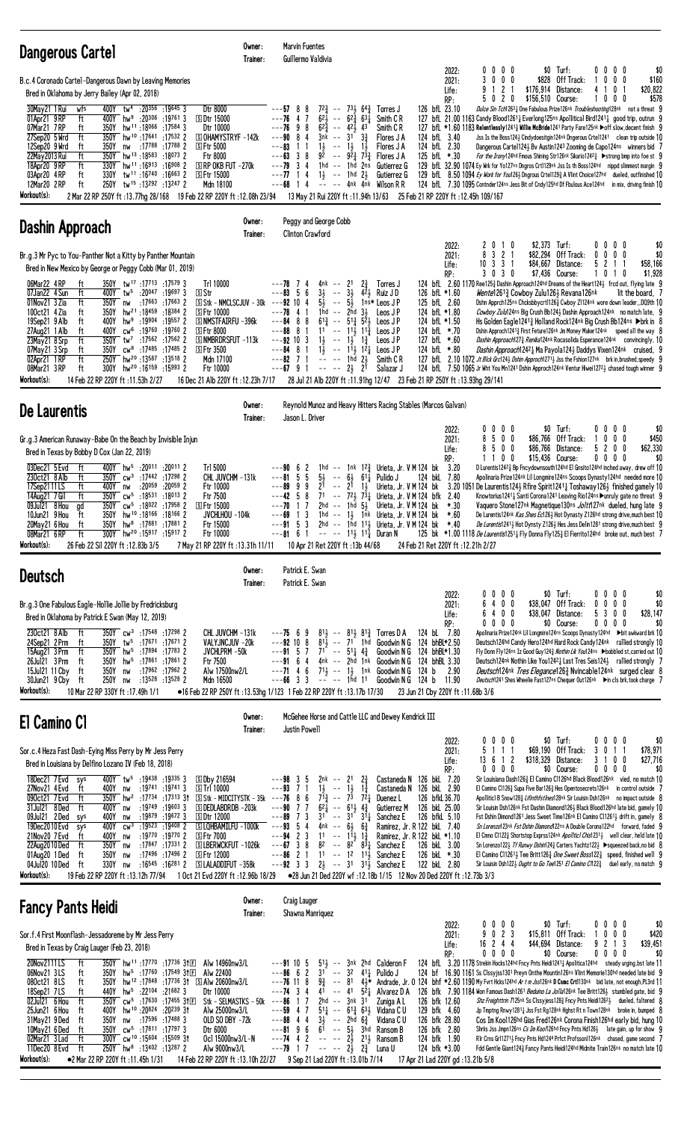| Dangerous Cartel                                                                                                                                                                                                                                                                                                                                                                                                                                                                                                                                                                                                                                                                                                                                                                                                                                                                                                                                                                                                                                                                           | Owner:<br>Trainer:            | Marvin Fuentes<br>Guillermo Valdivia                                                                                                                                                                                                                                                                                                                                                                                                                                                                                                                                                                                                                                                                                                                   |                                                                                                                                                                                                                                                                                                                                                                                                                                                                                                                                                                                                                                                                                                                                                                                                                                                                                                                                                                                                                                                                                                                                                                                                                                                                                                                                                                                                                       |
|--------------------------------------------------------------------------------------------------------------------------------------------------------------------------------------------------------------------------------------------------------------------------------------------------------------------------------------------------------------------------------------------------------------------------------------------------------------------------------------------------------------------------------------------------------------------------------------------------------------------------------------------------------------------------------------------------------------------------------------------------------------------------------------------------------------------------------------------------------------------------------------------------------------------------------------------------------------------------------------------------------------------------------------------------------------------------------------------|-------------------------------|--------------------------------------------------------------------------------------------------------------------------------------------------------------------------------------------------------------------------------------------------------------------------------------------------------------------------------------------------------------------------------------------------------------------------------------------------------------------------------------------------------------------------------------------------------------------------------------------------------------------------------------------------------------------------------------------------------------------------------------------------------|-----------------------------------------------------------------------------------------------------------------------------------------------------------------------------------------------------------------------------------------------------------------------------------------------------------------------------------------------------------------------------------------------------------------------------------------------------------------------------------------------------------------------------------------------------------------------------------------------------------------------------------------------------------------------------------------------------------------------------------------------------------------------------------------------------------------------------------------------------------------------------------------------------------------------------------------------------------------------------------------------------------------------------------------------------------------------------------------------------------------------------------------------------------------------------------------------------------------------------------------------------------------------------------------------------------------------------------------------------------------------------------------------------------------------|
| B.c.4 Coronado Cartel-Dangerous Dawn by Leaving Memories<br>Bred in Oklahoma by Jerry Bailey (Apr 02, 2018)<br>400Y tw <sup>4</sup> :20356 :19645 3<br>Dtr 8000<br>30May21 1 Rui<br>wfs<br>01Apr21 9RP<br>ft<br>400Y hw <sup>9</sup> :20 <sup>306</sup> :19761 3<br><b>SDtr 15000</b><br>07Mar21 7RP<br>350Y<br>ft<br>hw <sup>11</sup> :18066:175843<br>Dtr 10000<br>27Sep20 5 Wrd<br>350Y<br>hw <sup>10</sup> :17641 :17532 2<br><b>SOHAMYSTRYF-142k</b><br>ft<br>:17 <sup>788</sup> :17 <sup>788</sup> 2<br>12Sep20 9 Wrd<br>ft<br>350Y<br><b>SFtr 5000</b><br>nw<br>ft<br>350Y<br>hw <sup>13</sup> :18583:180732<br>22May 2013 Rui<br>Ftr 8000<br>hw <sup>11</sup> :16913:16908 2<br>$\Box$ RP OKB FUT -270 $k$<br>18Apr20 9RP<br>ft<br>330Y<br>ft<br>330Y tw <sup>11</sup> :16 <sup>740</sup> :16 <sup>663</sup> 2<br>S Ftr 15000<br>03Apr20 4RP<br>12Mar20 2 RP<br>250Y<br>tw <sup>15</sup> :13292:13247 2<br>ft<br>Mdn 18100<br>Workout(s):<br>2 Mar 22 RP 250Y ft :13.77hg 28/168 19 Feb 22 RP 220Y ft :12.08h 23/94                                                                |                               | $72\frac{3}{4}$ -- $73\frac{1}{2}$ 64 $\frac{3}{4}$ Torres J<br>$---57$ 8<br>8<br>$6^{2}$<br>---76<br>4 7<br>$- - 62\frac{3}{4} 63\frac{1}{4}$<br>Smith C R<br>$---769$<br>8<br>$62\frac{3}{4}$ -- $42\frac{1}{2}$ 43<br>Smith C R<br>$---90$ 8 4<br>$3\frac{3}{4}$<br>$3nk$ -- $31$<br>Flores J A<br>---83<br>$1\frac{1}{2}$<br>$-- 1\frac{1}{2}$ 1<br>Flores J A<br>$---63$ 3 8<br>$9\bar{2}$ -- $9\bar{2}$ $\bar{3}$ $7\bar{3}$ $\bar{3}$<br>Flores J A<br>1 hd -- 1 hd<br>$---79$ 3 4<br>2ns<br>Gutierrez G<br>$---77$ 14<br>$1\frac{1}{2}$ -- 1hd $2\frac{1}{2}$<br>Gutierrez G<br>---68<br>$---$ 4nk 4nk Wilson R R<br>14<br>13 May 21 Rui 220Y ft: 11.94h 13/63                                                                                 | $$0$ Turf:<br>0<br>$0\,0\,0$<br>$0\,0\,0\,0$<br>\$0<br>2022:<br>2021:<br>3<br>$0\ 0\ 0$<br>\$828<br>Off Track:<br>$0\quad 0$<br>$\mathbf{0}$<br>\$160<br>1 <sub>2</sub><br>\$176,914<br>Distance:<br>10<br>\$20,822<br>9<br>4<br>-1<br>Life:<br>-1<br>20<br>$\mathbf 0$<br>\$578<br>RP:<br>\$156,510 Course:<br>0<br>0<br>0<br>126 bfL 23.10<br>Dulce Sin Tch12631 One Fabulous Prize126nk Troubleshooting128nk not a threat 9<br>127 bfL 21.00 1163 Candy Blood12611 Everlong125ns Apollitical Bird12411 good trip, outrun 9<br>127 bfL *1.60 1183 Relentlessly1241} Willie McBride1241 Party Fare125nk ▶off slow, decent finish 9<br>124 bfL 3.40<br>Jss Is the Boss1243 Cindydoesitgin124 <sup>nk</sup> Dngerous Crtel1241 clean trip outside 10<br>124 bfL 2.30<br>Dangerous Cartel1243 Bv Austin1243 Zooming de Capo124ns winners bid 7<br>125 bfL *.30<br>For the Irony124hd Fmous Shining Str126nk Sikario12423 > strong bmp into foe st 9<br>129 bfl. 32.90 1074 Ey Wrk for Yo127ns Dngros Crt1129nk Jss Is th Boss124hd nippd slimmest margin 9<br>129 bfl. 8.50 1094 Ey Work for You126} Dngrous Crte1129} A Vlint Choice127hd dueled, outfinished 10<br>124 bfL 7.30 1095 Contnder124ns Jess Bit of Cndy125hd Df Fbulous Ace124hd in mix, driving finish 10<br>25 Feb 21 RP 220Y ft: 12.45h 109/167                                                                                                        |
| Dashin Approach                                                                                                                                                                                                                                                                                                                                                                                                                                                                                                                                                                                                                                                                                                                                                                                                                                                                                                                                                                                                                                                                            | Owner:<br>Trainer:            | Peggy and George Cobb<br><b>Clinton Crawford</b>                                                                                                                                                                                                                                                                                                                                                                                                                                                                                                                                                                                                                                                                                                       | \$2,373 Turf:<br>2010<br>$0\,0\,0\,0$<br>\$0<br>2022:                                                                                                                                                                                                                                                                                                                                                                                                                                                                                                                                                                                                                                                                                                                                                                                                                                                                                                                                                                                                                                                                                                                                                                                                                                                                                                                                                                 |
| Br.g.3 Mr Pyc to You-Panther Not a Kitty by Panther Mountain<br>Bred in New Mexico by George or Peggy Cobb (Mar 01, 2019)<br>350Y tw <sup>17</sup> :17713 :17579 3<br>Tr1 10000<br>06Mar22 4RP<br>ft<br>ft<br>07Jan22 4 Sun<br>400Y tw <sup>5</sup> :20 <sup>047</sup> :19697 3<br><b>S</b> Str<br>$S$ Stk - NMCLSCJUV - 30k ---92 10 4<br>01Nov21 3 Zia<br>ft<br>350Y<br>:17663 :17663 2<br>nw<br>350Y<br>hw <sup>21</sup> :18459:18384 2<br>100ct21 4 Zia<br>ft<br><b>SFtr 10000</b><br>S NMSTFAIRFU - 396k<br>ft<br>400Y hw <sup>9</sup> :19904 :19557 2<br>19Sep21 9 Alb<br>cw <sup>6</sup> :19760:197602<br>27Aug21 1 Alb<br>ft<br>400Y<br><b>SFtr 8000</b><br>350Y tw <sup>7</sup> :17562 :17562 2<br>23May21 8 Srp<br>ft<br>S NMBRDRSFUT -113k<br>$350Y$ cw <sup>8</sup> :17485 :17485 2<br><b>SFtr 3500</b><br>07May21 3 Srp<br>ft<br>250Y hw <sup>20</sup> :13587:13518 2<br>02Apr21 1RP<br>ft<br>Mdn 17100<br>300Y hw <sup>20</sup> :16159 :15993 2<br>08Mar21 3RP<br>ft<br>Ftr 10000<br>Workout(s):<br>14 Feb 22 RP 220Y ft : 11.53h 2/27<br>16 Dec 21 Alb 220Y ft: 12.23h 7/17 |                               | $2\frac{3}{4}$<br>$---78$ 7 4<br>4nk -- 21<br>Torres J<br>$--83$ 5 6<br>$3\frac{1}{2}$<br>$42$ Ruiz J D<br>$\sim$ $-$<br>$3\frac{1}{2}$<br>$5\frac{1}{2}$ -- $5\frac{1}{2}$ 1ns* Leos JP<br>$---78$ 4 1<br>1hd -- $2hd$ $3\frac{1}{2}$<br>Leos J P<br>$6^{13}$ -- $5^{13}$ $5^{2}$ Leos JP<br>$---84$ 8<br>8<br>$---88$ 8<br>$11 - - 11\frac{1}{2}$ $11\frac{3}{4}$ Leos JP<br>$\overline{1}$<br>$1\frac{1}{2}$ -- $1\frac{1}{2}$ $1\frac{3}{4}$<br>$---92$ 10 3<br>Leos J P<br>$1\frac{1}{2}$ -- $1\frac{1}{2}$ $1\frac{2}{4}$ Leos JP<br>$---84$ 8 1<br>$-- -1$ hd $2\frac{1}{2}$<br>$---82$ 7 1<br>Smith C R<br>$---67$ 9 1<br>$--- 2\frac{1}{2}$ $2^{1}$<br>Salazar J<br>28 Jul 21 Alb 220Y ft: 11.91hg 12/47 23 Feb 21 RP 250Y ft: 13.93hg 29/141 | $3 \t2 \t1$<br>\$0<br>8<br>\$82,294 Off Track:<br>$0\ 0\ 0$<br>2021:<br>0<br>$10$ 3 3 1<br>\$84,667<br>Distance:<br>5<br>2 1 1<br>\$58,166<br>Life:<br>$03$ 0<br>\$7,436 Course:<br>\$1,928<br>RP:<br>3<br>10<br>$\mathbf{1}$<br>0<br>124 bfl 2.60 1170 Ree1253 Dashin Approach124hd Dreams of the Heart1243 frcd out, flying late 9<br>126 bfL *1.60<br>Wentel 2613 Cowboy Zulu1261 Revana126nk<br>lit the board, 7<br>125 bfL 2.60<br>Dshn Apprch125ns Chcksbbycrt11263 Cwboy Z1124nk wore down leader, DQ9th 10<br>124 bfL *1.80<br>Cowboy Zulu124ns Big Crush Bb1243 Dashin Approach124nk no match late, 9<br>Hs Golden Eagle12413 Holland Rock124nk Big Crush Bb124ns ▶ brk in 8<br>124 bfL *1.50<br>124 bfL *.70<br>Dshin Approch1241 <sup>3</sup> First Feture126nk Jm Money Maker124nk speed all the way 8<br>Dashin Approach1273 Renika124nk Rocasolida Esperance124nk convincingly, 10<br>127 bfL *.60<br>124 bfL *.80<br>Dashin Approach12421 Ma Payola1241 Daddys Vixen124nk cruised, 9<br>127 bfl 2.10 1072 Jt Blck Grc1243 Dshin Approch12713 Jss the Fshion127nk brk in, brushed, speedy 9<br>124 bfL 7.50 1065 Jr Wht You Mn1241 Dshin Approch124nk Ventur Hiwei1272 $\frac{1}{2}$ chased tough winner 9                                                                                                                                                                                              |
| De Laurentis                                                                                                                                                                                                                                                                                                                                                                                                                                                                                                                                                                                                                                                                                                                                                                                                                                                                                                                                                                                                                                                                               | Owner:<br>Trainer:            | Reynold Munoz and Heavy Hitters Racing Stables (Marcos Galvan)<br>Jason L. Driver                                                                                                                                                                                                                                                                                                                                                                                                                                                                                                                                                                                                                                                                      |                                                                                                                                                                                                                                                                                                                                                                                                                                                                                                                                                                                                                                                                                                                                                                                                                                                                                                                                                                                                                                                                                                                                                                                                                                                                                                                                                                                                                       |
| Gr.g.3 American Runaway-Babe On the Beach by Invisible Injun<br>Bred in Texas by Bobby D Cox (Jan 22, 2019)<br>03Dec21 5 Evd<br>400Y hw <sup>5</sup> :20011 :20011 2<br>ft<br>Trl 5000<br>230ct21 8 Alb<br>350Y cw <sup>3</sup> :17442 :17298 2<br>CHL JUVCHM -131k<br>ft<br>17Sep2111LS<br>ft<br>400Y<br>:20059<br>:20059 2<br>Ftr 10000<br>nw<br>14Aug21 7 Gil<br>ft<br>350Y cw <sup>5</sup> :18531 :18013 2<br>Ftr 7500<br>cw <sup>5</sup> :18022:179582<br>09Jul21 8 Hou<br>350Y<br><b>SFtr 15000</b><br>ad<br>10Jun21 9 Hou<br>ft<br>350Y<br>hw <sup>10</sup> :18 <sup>166</sup> :18 <sup>166</sup> 2<br>JVCHLHOU -104k<br>350Y hw <sup>8</sup> :17881 :17881 2<br>20May21 6 Hou<br>ft<br>Ftr 15000<br>300Y hw <sup>20</sup> :15917 :15917 2<br>Ftr 10000<br>08Mar21 6RP<br>ft<br>Workout(s):<br>26 Feb 22 Sil 220Y ft: 12.83b 3/5<br>7 May 21 RP 220Y ft: 13.31h 11/11                                                                                                                                                                                                               |                               | 1hd -- 1nk 12 <sup>3</sup> Urieta, Jr. V M 124 bk<br>---90 6<br>2<br>5<br>$5\frac{1}{2}$ -- $6\frac{1}{2}$ $61\frac{1}{4}$<br>$---815$<br>Pulido J<br>---89<br>9<br>9<br>21<br>$--$ 21<br>$1\frac{1}{2}$<br>$---42 5 8$<br>$71 - -72\frac{1}{2}73\frac{1}{4}$<br>17<br>2hd -- 1hd $5\frac{1}{2}$<br>---70<br>$---69$ 1 3<br>1hd $--$ 1 $\frac{1}{2}$ 1nk Urieta, Jr. V M 124 bk<br>2hd -- 1hd 111, Urieta, Jr. V M 124 bk<br>$---915$<br>3<br>$- -81$ 6 1 $- - - 11\frac{1}{2}$ 11 Duran N<br>10 Apr 21 Ret 220Y ft: 13b 44/68                                                                                                                                                                                                                         | \$0 Turf:<br>$0\,0\,0\,0$<br>$0\,0\,0\,0$<br>\$0<br>2022:<br>500<br>8<br>\$86,766 Off Track:<br>1000<br>2021:<br>\$450<br>\$62,330<br>500<br>5 2 0 0<br>\$86,766 Distance:<br>Life:<br>8<br>0 <sub>0</sub><br>\$15,436 Course:<br>$0\,0\,0\,0$<br>\$0<br>RP:<br>11<br>3.20<br>D Lurentis 12423 Bp Fncydownsouth 124hd El Gnsito 124hd inched away, drew off 10<br>124 bkL<br>7.80<br>Apolinaria Prize124nk Lil Longmire124ns Scoops Dynasty124hd needed more 10<br>Urieta, Jr. V M 124 bk<br>3.20 1051 De Laurentis1243 Rfire Spirit1241 <sup>1</sup> Toshaway1263 finished gamely 10<br>Urieta, Jr. V M 124 bfk<br>2.40<br>Knowtorius12411 Santi Corona1241 Leaving Rio124ns ▶unruly gate no threat 9<br>Urieta, Jr. V M 124 bk<br>$*.30$<br>Vaquero Stone127nk Magnetique130ns <i>Joltt</i> 127nk dueled, hung late 9<br>$*.60$<br>De Lurentis124 <sup>nk</sup> Kas Shes Ec1263 Hot Dynasty Z126 <sup>hd</sup> strong drive, much best 10<br>$*40$<br>De Lurentis12413 Hot Dynsty Z1263 Hes Jess Delin1281 strong drive, much best 9<br>125 bk *1.00 1118 De Laurentis12511 Fly Donna Fly1253 El Fierrito124hd broke out, much best 7<br>24 Feb 21 Ret 220Y ft : 12.21h 2/27                                                                                                                                                                                                                                        |
| <b>Deutsch</b>                                                                                                                                                                                                                                                                                                                                                                                                                                                                                                                                                                                                                                                                                                                                                                                                                                                                                                                                                                                                                                                                             | Owner:<br>Trainer:            | Patrick E. Swan<br>Patrick E. Swan                                                                                                                                                                                                                                                                                                                                                                                                                                                                                                                                                                                                                                                                                                                     |                                                                                                                                                                                                                                                                                                                                                                                                                                                                                                                                                                                                                                                                                                                                                                                                                                                                                                                                                                                                                                                                                                                                                                                                                                                                                                                                                                                                                       |
| Br.g.3 One Fabulous Eagle-Hollie Jollie by Fredricksburg<br>Bred in Oklahoma by Patrick E Swan (May 12, 2019)                                                                                                                                                                                                                                                                                                                                                                                                                                                                                                                                                                                                                                                                                                                                                                                                                                                                                                                                                                              |                               |                                                                                                                                                                                                                                                                                                                                                                                                                                                                                                                                                                                                                                                                                                                                                        | \$0 Turf:<br>$0\ 0\ 0\ 0$<br>\$0<br>0<br>$0\,0\,0$<br>2022:<br>6 4 0 0<br>\$38,047 Off Track:<br>$0\ 0\ 0\ 0$<br>\$0<br>2021:<br>6400<br>\$38,047 Distance:<br>5 3 0 0<br>\$28,147<br>Life:<br>$0\ 0\ 0\ 0$<br>\$0 Course:<br>$0\ 0\ 0\ 0$<br>\$0<br>RP:                                                                                                                                                                                                                                                                                                                                                                                                                                                                                                                                                                                                                                                                                                                                                                                                                                                                                                                                                                                                                                                                                                                                                              |
| 230ct21 8 Alb<br>350Y cw <sup>3</sup> :17548 :17298 2<br>ft<br>CHL JUVCHM -131k<br>350Y tw <sup>5</sup> :17671 :17671 2<br>VALYJNCJUV -20k<br>24Sep21 2 Prm<br>ft<br>15Aug21 3 Prm<br>ft<br>350Y hw <sup>5</sup> :17894:177832<br>JVCHLPRM -50k<br>26Jul21 3 Prm<br>ft<br>350Y hw <sup>5</sup> :17861 :17861 2<br>Ftr 7500<br>:17962 :17962 2<br>15Jul21 11 Cby<br>ft<br>350Y<br>Alw 17500nw2/L<br>nw<br>30Jun21 9 Cby ft<br>250Y<br>:13528 :13528 2<br>Mdn 16500<br>nw<br>Workout(s):<br>10 Mar 22 RP 330Y ft: 17.49h 1/1                                                                                                                                                                                                                                                                                                                                                                                                                                                                                                                                                                 |                               | $8^{11}$ , $-8^{11}$ , $8^{12}$ , Torres D A<br>$---75$ 6 9<br>$---92$ 10 8<br>$81\frac{1}{2}$ -- 71 <sup>-</sup> 1hd<br>$--91$ 5 7 71 $--$ 51 $4\frac{3}{4}$<br>$---91$ 6 4 4nk $---2$ hd 1nk Goodwin N G<br>$---71$ 4 6 $71\frac{1}{2}$ $--- 1\frac{1}{2}$ 1nk Goodwin N G<br>-- -- 1hd 11<br>$---66$ 3 3<br>●16 Feb 22 RP 250Y ft: 13.53hg 1/123 1 Feb 22 RP 220Y ft: 13.17b 17/30                                                                                                                                                                                                                                                                                                                                                                  | 124 bL 7.80<br>Apolinaria Prize124nk Lil Longmire124ns Scoops Dynasty124hd ▶bit awkward brk 10<br>Goodwin N G 124 bhBL*2.50<br>Deutsch124hd Candy Hero124hd Hard Rock Candy124nk rallied strongly 10<br>Goodwin N G 124 bhBL*1.30<br>Fly Donn Fly124ns Iz Good Guy124} Nothin Lik You124ns ▶bobbled st, carried out 10<br>124 bhBL 3.30<br>Deutsch124nk Nothin Like You12421 Last Tres Seis1241 rallied strongly 7<br>124 b<br>2.90<br><i>Deutsch</i> 124nk <i>Tres Elegance</i> 126 <sup>3</sup> Nvincable124nk surged clear 8<br>Goodwin N G 124 b 11.90<br><i>Deutsch</i> 1241 Shes Wheelie Fast127ns Chequer Out126nk ▶in cls brk, took charge 7<br>23 Jun 21 Cby 220Y ft: 11.68b 3/6                                                                                                                                                                                                                                                                                                                                                                                                                                                                                                                                                                                                                                                                                                                             |
| El Camino Cl                                                                                                                                                                                                                                                                                                                                                                                                                                                                                                                                                                                                                                                                                                                                                                                                                                                                                                                                                                                                                                                                               | Owner:<br>Trainer:            | McGehee Horse and Cattle LLC and Dewey Kendrick III<br>Justin Powell                                                                                                                                                                                                                                                                                                                                                                                                                                                                                                                                                                                                                                                                                   |                                                                                                                                                                                                                                                                                                                                                                                                                                                                                                                                                                                                                                                                                                                                                                                                                                                                                                                                                                                                                                                                                                                                                                                                                                                                                                                                                                                                                       |
| Sor.c.4 Heza Fast Dash-Eying Miss Perry by Mr Jess Perry<br>Bred in Louisiana by Delfino Lozano IV (Feb 18, 2018)<br>18Dec21 7 Evd<br>400Y tw <sup>5</sup> :19438 :19335 3<br>sys<br>SDby 216594<br>400Y<br>:19741 :19741 3<br><b>STrl 10000</b><br>27Nov21 4 Evd<br>ft<br>nw<br>350Y hw <sup>2</sup> :1734 :17313 31 Stk - MIDCITYSTK - 35k ---76 8<br>090ct21 7Evd<br>ft<br>:19749 :19603 3<br>31Jul21 8Ded<br><b>SDEDLABDRDB-203k</b><br>ft<br>400Y nw<br>$:19879$ $:19672$ 3<br>09Jul21 2Ded<br><b>SDtr 12000</b><br>400Y<br>sys<br>nw<br>400Y<br>:19 <sup>523</sup> :19 <sup>408</sup> 2<br>19Dec2010 Evd<br>$CW^3$<br>SLQHBAMILFU -1000k<br>sys<br>21Nov20 7 Evd<br>400Y<br>:19770 :19770 2<br><b>SFtr 7000</b><br>ft<br>nw<br>:17847 :17331 2<br>350Y<br>SLBERWCKFUT-1026k<br>22Aug2010 Ded<br>ft<br>nw<br>01Aug20 1Ded<br>ft<br>350Y<br>:17496 :17496 2<br><b>SFtr 12000</b><br>nw<br>04Jul20 10 Ded<br>ft<br>330Y<br>$:16^{545}$ $:16^{281}$ 2 SLALADDIFUT $-358k$<br>nw<br>Workout(s):<br>19 Feb 22 RP 220Y ft:13.12h 77/94<br>1 Oct 21 Evd 220Y ft : 12.96b 18/29               |                               | $---98$ 3<br>-5<br>2nk -- 21<br>$2\frac{3}{4}$<br>$1\frac{3}{4}$<br>$---93$ 7 1<br>$1\frac{1}{2}$<br>$- - 1\frac{1}{2}$<br>6<br>$7^{13}$ -- $7^{3}$ $7^{21}$<br>Duenez L<br>$6^{2}$<br>---90<br>77<br>$-- 61\frac{1}{2}$ 4 <sup>3</sup> / <sub>2</sub><br>Gutierrez M<br>$-$ 31 $3\overline{1}_4$<br>$---89$ 7 3<br>31<br>Sanchez E<br>$---93$ 5 4<br>4nk<br>$- - 6\frac{1}{2}$<br>$6\frac{3}{4}$<br>$---94$ 2 3<br>$11$ -- $11\frac{1}{2}$<br>$1\frac{3}{4}$<br>$---67$ 3 8<br>$8^2$ -- $8^{2}$ $8^{3}$ $4$<br>Sanchez E<br>$---86$ 2 1<br>$11 - 12$ $11$<br>Sanchez E<br>$---92 \quad 3 \quad 3$<br>$2\frac{1}{2}$ -- 31 31 <sup>1</sup> / <sub>2</sub> Sanchez E<br>● 28 Jun 21 Ded 220Y wf:12.18b 1/15  12 Nov 20 Ded 220Y ft:12.73b 3/3           | $0\ 0\ 0$<br>$$0$ Turf:<br>0 0 0 0<br>0<br>\$0<br>2022:<br>5 1 1 1<br>\$69,190 Off Track:<br>3 0 1 1<br>\$78,971<br>2021:<br>\$318,329<br>Distance:<br>3 1 0 0<br>\$27,716<br>13 6 1 2<br>Life:<br>$0\ 0\ 0\ 0$<br>RP:<br>\$0 Course:<br>$0\ 0\ 0\ 0$<br>\$0<br>Castaneda N 126 bkL 7.20<br>Sir Louisiana Dash1263 El Camino C1126hd Black Blood126nk vied, no match 10<br>Castaneda N 126 bkL 2.90<br>El Camino C11263 Supa Five Bar1263 Hes Opentosecrets126nk in control outside 7<br>126 bfkL 36.70<br>Apolliticl B Snow1283 Lifinthfstlnes128nk Sir Louisin Dsh126nk no impact outside 8<br>126 bkL 25.00<br>Sir Louisin Dsh126nk Fst Dashin Diamond1263 Black Blood126hd late bid, gamely 10<br>126 bfkL 5.10<br>Fst Dshin Dimond1261 Jess Sweet Time126nk El Camino C11261 <sub>2</sub> drift in, gamely 8<br>Ramirez, Jr. R 122 bkL 7.40<br>Sn Lorenzo123nk Fst Dshin Diamono122ns A Double Corona122hd forward, faded 9<br>Ramirez, Jr. R 122 bkL *1.10<br>El Cmno C11223 Shortstop Exprss124nk Apolitici Chis12313 well clear, held late 10<br>126 bkL 3.00<br>Sn Lorenzo122} Tf Runwy Dshin124} Carters Yachtz122} ▶ squeezed back, no bid 8<br>126 bkL *.30<br>El Camino C11261 <sub>3</sub> Tee Britt126 <sub>3</sub> One Sweet Boss122 <sub>3</sub> speed, finished well 9<br>122 bkL 2.80<br>Sir Louisin Dsh122 $\frac{1}{2}$ Ought to Go Tee1251 El Camino C/122 $\frac{3}{4}$ duel early, no match 9 |
| <b>Fancy Pants Heidi</b>                                                                                                                                                                                                                                                                                                                                                                                                                                                                                                                                                                                                                                                                                                                                                                                                                                                                                                                                                                                                                                                                   | Owner:<br>Trainer:            | <b>Craig Lauger</b><br>Shawna Manriquez                                                                                                                                                                                                                                                                                                                                                                                                                                                                                                                                                                                                                                                                                                                |                                                                                                                                                                                                                                                                                                                                                                                                                                                                                                                                                                                                                                                                                                                                                                                                                                                                                                                                                                                                                                                                                                                                                                                                                                                                                                                                                                                                                       |
| Sor.f.4 First Moonflash-Jessadoreme by Mr Jess Perry<br>Bred in Texas by Craig Lauger (Feb 23, 2018)<br>20Nov2111LS<br>ft<br>350Y hw <sup>11</sup> :17770 :17736 3†冝<br>Alw 14960nw3/L<br>06Nov21 3LS<br>hw <sup>5</sup> :17760 :17549 31 $E$<br>Alw 22400<br>ft<br>350Y<br>350Y hw <sup>12</sup> :17848:17736 31 SAlw 20600nw3/L<br>080ct21 8LS<br>ft<br>18Sep21 7LS<br>440Y<br>hw <sup>5</sup> :22104 :21682 3<br>Dtr 10000<br>ft<br>02Jul21 6 Hou<br>ft<br>350Y cw <sup>5</sup> :17630 :17455 31E<br>hw <sup>10</sup> :20 <sup>824</sup> :20 <sup>239</sup> 31<br>Alw 25000nw3/L<br>25Jun21 6 Hou<br>400Y<br>ft<br>31May21 9Ded<br>350Y<br>:17596 :17488 3<br>OLD SO DBY -72k<br>ft<br>nw<br>350Y<br>cw <sup>5</sup> :17811:177973<br>10May21 6Ded<br>ft<br>Dtr 6000                                                                                                                                                                                                                                                                                                                    | Stk - SELMASTKS - $50k$ ---86 | $51\frac{1}{2}$ -- $3nk$ 2hd Calderon F<br>$---91105$<br>$---86662$<br>$31 - - 32$ $41\frac{1}{4}$ Pulido J<br>$---76$ 11 8<br>$---74$ 3 4<br>$5\overline{2}$ Alvarez D A<br>41<br>$-- 41$<br>2hd -- 3nk 31<br>7<br>Zuniga A L<br>$5^{11}$ -- $6^{13}$ $6^{31}$ Vidana CU<br>$---59$ 4 7<br>$---88$ 4 4<br>$3\frac{1}{2}$ -- 2hd $6\frac{3}{4}$<br>Vidana C U                                                                                                                                                                                                                                                                                                                                                                                          | \$0 Turf:<br>$0\ 0\ 0\ 0$<br>$0\,0\,0\,0$<br>\$0<br>2022:<br>023<br>$$15.811$ Off Track:<br>$\mathbf{0}$<br>00<br>\$420<br>2021:<br>9<br>16 2 4 4<br>\$44,694 Distance:<br>9 2 1 3<br>\$39,451<br>Life:<br>$0\ 0\ 0$<br>\$0 Course:<br>$0\quad 0\quad 0\quad 0$<br>\$0<br>RP:<br>0<br>124 bfL 3.20 1178 Strekin Hocks124hd Fncy Pnts Heidi12411 Apolitica124hd steady urging, bst late 11<br>124 bf 16.90 1161 Ss Clssyjss1301 Preyn Onthe Mountin126ns Vlint Memorie130hd needed late bid 9<br>$9\frac{3}{4}$ -- 81 43* Andrade, Jr. 0 124 bhf *2.60 1190 My Fvrt Hcks124hd Ar t m Jss126nk D Csmc Crt1130nk bid late, not enough, PL3rd 11<br>126 bfk 7.90 1184 Won Famous Dash1261 Beduino La Jolla126nk Tee Britt1261 stumbled gate, bid 9<br>126 bfk 12.60<br>Shz Freighttrin 7125nk Ss Clssyjess1283 Fncy Pnts Heidi12623 dueled, faltered 8<br>129 bfk 4.60<br>Jp Tmptng Rnwy1281 & Jss Fst Rg128nk Hghst Rt n Town128nk broke in, bumped 8<br>126 bfk 28.80<br>Cos Im Kool126hd Gias Fred126nk Corona Finish126hd early bid, hung 10                                                                                                                                                                                                                                                                                                                                                                          |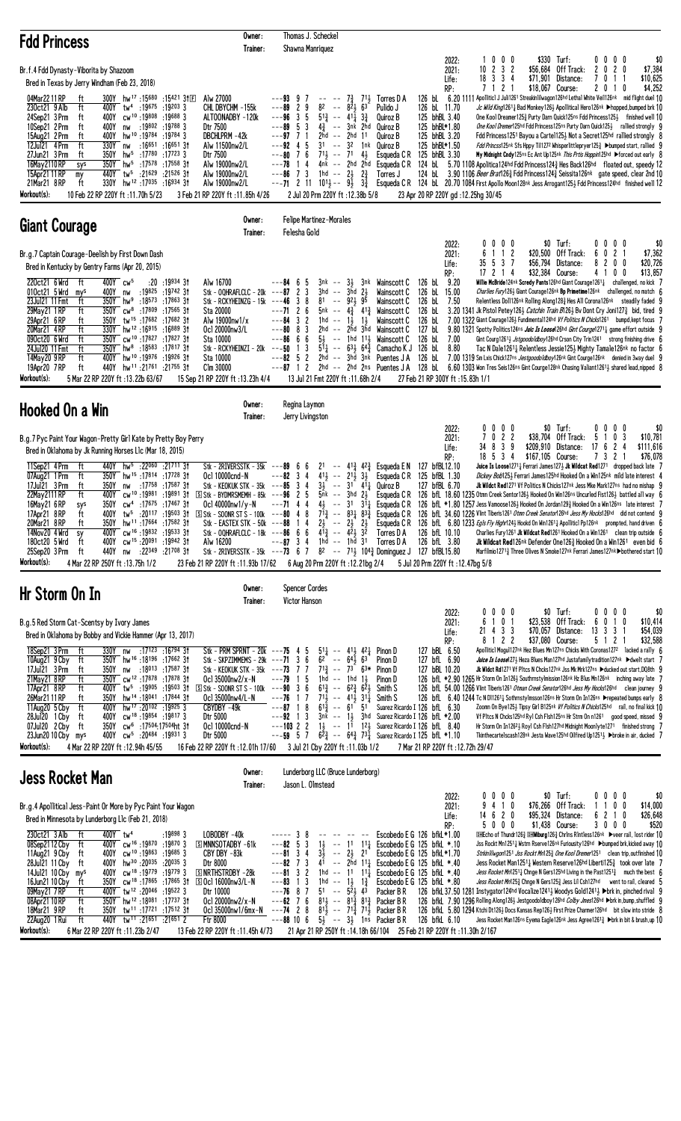| <b>Fdd Princess</b>                                                                                                                                                                                                                                                                                                                                                                                                                                                                                                                                                                                                                                                                                                                                                                                                                                               | Owner:<br>Trainer:                                                                                                                                                                                                                                                                                                                  | Thomas J. Scheckel<br>Shawna Manriquez                                                                                                                                                                                                                                                                                                                                                                                                    |                                                                                                                                                                                                                                                                                                                                                                                                                                      |                                                                                                                                                                                             |                                                 |                                                                                                                                                                                                                                                                                                                                                                                                                                                                                                                                                                                                                                                                                                                                                                                                                                                                                                                                                                                                                                                                                                                                                                                                                                                                                                                                                 |                                         |
|-------------------------------------------------------------------------------------------------------------------------------------------------------------------------------------------------------------------------------------------------------------------------------------------------------------------------------------------------------------------------------------------------------------------------------------------------------------------------------------------------------------------------------------------------------------------------------------------------------------------------------------------------------------------------------------------------------------------------------------------------------------------------------------------------------------------------------------------------------------------|-------------------------------------------------------------------------------------------------------------------------------------------------------------------------------------------------------------------------------------------------------------------------------------------------------------------------------------|-------------------------------------------------------------------------------------------------------------------------------------------------------------------------------------------------------------------------------------------------------------------------------------------------------------------------------------------------------------------------------------------------------------------------------------------|--------------------------------------------------------------------------------------------------------------------------------------------------------------------------------------------------------------------------------------------------------------------------------------------------------------------------------------------------------------------------------------------------------------------------------------|---------------------------------------------------------------------------------------------------------------------------------------------------------------------------------------------|-------------------------------------------------|-------------------------------------------------------------------------------------------------------------------------------------------------------------------------------------------------------------------------------------------------------------------------------------------------------------------------------------------------------------------------------------------------------------------------------------------------------------------------------------------------------------------------------------------------------------------------------------------------------------------------------------------------------------------------------------------------------------------------------------------------------------------------------------------------------------------------------------------------------------------------------------------------------------------------------------------------------------------------------------------------------------------------------------------------------------------------------------------------------------------------------------------------------------------------------------------------------------------------------------------------------------------------------------------------------------------------------------------------|-----------------------------------------|
| Br.f.4 Fdd Dynasty-Viborita by Shazoom<br>Bred in Texas by Jerry Windham (Feb 23, 2018)                                                                                                                                                                                                                                                                                                                                                                                                                                                                                                                                                                                                                                                                                                                                                                           |                                                                                                                                                                                                                                                                                                                                     |                                                                                                                                                                                                                                                                                                                                                                                                                                           |                                                                                                                                                                                                                                                                                                                                                                                                                                      | 2022:<br>2021:<br>Life:<br>RP:                                                                                                                                                              | 1000<br>$10$ 2 3 2<br>18 3 3 4<br>7121          | \$330 Turf:<br>$0\ 0\ 0\ 0$<br>\$56,684 Off Track:<br>$\mathbf{2}$<br>020<br>\$71,901 Distance:<br>$0 \t1 \t1$<br>$\mathcal{I}$<br>\$18,067 Course:<br>201<br>0                                                                                                                                                                                                                                                                                                                                                                                                                                                                                                                                                                                                                                                                                                                                                                                                                                                                                                                                                                                                                                                                                                                                                                                 | \$0<br>\$7,384<br>\$10,625<br>\$4,252   |
| 04Mar2211RP<br>300Y hw <sup>17</sup> :15680:15421 31E<br>ft<br>230ct21 9 Alb<br>ft<br>400Y tw <sup>4</sup> :19675 :19203 3<br>24Sep21 3 Prm<br>400Y<br>cw <sup>10</sup> :19808:196883<br>ft<br>10Sep21 2 Prm<br>:19 <sup>802</sup> :19 <sup>788</sup> 3<br>ft<br>400Y nw<br>15Aug21 2 Prm<br>hw <sup>10</sup> :19784:197843<br>400Y<br>ft<br>12Jul21 4 Prm<br>ft<br>330Y nw<br>16 <sup>651</sup> :16 <sup>651</sup> 31<br>350Y hw <sup>5</sup> :17780 :17723 3<br>27Jun21 3 Prm<br>ft<br>350Y hw <sup>5</sup> :17578 :17558 3t<br>16May 2110 RP<br>sys<br>15Apr21 11 RP<br>440Y tw <sup>5</sup> :21629 :21526 31<br>my<br>330Y hw <sup>12</sup> :17035:16934 3t<br>21Mar21 8RP<br>ft<br>Workout(s):<br>10 Feb 22 RP 220Y ft: 11.70h 5/23                                                                                                                          | Alw 27000<br>CHL DBYCHM - 155k<br>ALTOONADBY -120k<br>Dtr 7500<br>DBCHLPRM -42k<br>Alw 11500nw2/L<br>Dtr 7500<br>Alw 19000nw2/L<br>Alw 19000nw2/L<br>Alw 19000nw2/L<br>3 Feb 21 RP 220Y ft: 11.85h 4/26                                                                                                                             | $---93$ 9 7<br>$---89$ 2 9<br>$82 - -$<br>$--96$ 3 5<br>$5^{13}$ -- $4^{11}$ $3^{3}$<br>$--89$ 5 3<br>$4\frac{3}{4}$ -- $3nk$ 2hd<br>$2hd$ --<br>$---97$ 7 1<br>$--92$ 4 5<br>31 -- 32 1nk<br>$--80$ 7 6<br>$71\frac{1}{2}$ -- $71\frac{11}{2}$<br>$4n\bar{k}$ -- 2hd 2hd<br>$---78$ 1 4<br>$---86$ 7 3<br>1hd -- $2\frac{1}{2}$ $2\frac{3}{4}$<br>$---71$ 2 11 $10^{11}$ $--- 9^{1}_{2}$ $3^{3}_{4}$<br>2 Jul 20 Prm 220Y ft: 12.38b 5/8 | $-- -7\frac{3}{4}$ 7 <sup>1</sup> / <sub>2</sub> Torres D A<br>$82\frac{1}{2}63$<br>Pulido J<br>Quiroz B<br>Quiroz B<br>2hd 11<br>Quiroz B<br>Quiroz B<br>Esqueda C R<br>Esqueda C R<br>Torres J                                                                                                                                                                                                                                     | 126 bL 11.70<br>125 bhBL 3.40<br>125 bhBL*1.80<br>125 bhBL 3.20<br>125 bhBL*1.50<br>125 bhBL 3.30<br>124 bL<br>23 Apr 20 RP 220Y gd: 12.25hg 30/45                                          |                                                 | 126 bL 6.20 1111 Apolliticl J Juli1261 Streakinlilwagon126hd Lethal White Veil126nk mid flight duel 10<br>Jc Wild King12611 Bad Monkey1261 Apollitical Hero126nk >hopped, bumped brk 10<br>One Kool Dreamer1253 Purty Darn Quick125ns Fdd Princess1253 finished well 10<br>One Kool Dremer125hd Fdd Princess125ns Purty Darn Quick125} rallied strongly 9<br>Fdd Princess1251 Bayou a Cartel125} Not a Secret125hd rallied strongly 8<br>Fdd Princss125nk Sfs Hppy Til1272 Whisperlittlepryer1253 >bumped start, rallied 9<br>My Midnight Cndy125ns Ec Ant Up125nk This Prtis Hoppin125hd >forced out early 8<br>5.70 1108 Apolitica124hd Fdd Princess1243 Hes Back126hd floated out, speedy 12<br>124 bl 3.90 1106 Beer Brat126 $\frac{3}{4}$ Fdd Princess124 $\frac{3}{4}$ Seissita126 <sup>nk</sup> gate speed, clear 2nd 10<br>Esqueda C R 124 bl 20.70 1084 First Apollo Moon128nk Jess Arrogant125} Fdd Princess124hd finished well 12                                                                                                                                                                                                                                                                                                                                                                                                    |                                         |
| <b>Giant Courage</b>                                                                                                                                                                                                                                                                                                                                                                                                                                                                                                                                                                                                                                                                                                                                                                                                                                              | Owner:<br>Trainer:                                                                                                                                                                                                                                                                                                                  | Felipe Martinez-Morales<br>Felesha Gold                                                                                                                                                                                                                                                                                                                                                                                                   |                                                                                                                                                                                                                                                                                                                                                                                                                                      |                                                                                                                                                                                             |                                                 |                                                                                                                                                                                                                                                                                                                                                                                                                                                                                                                                                                                                                                                                                                                                                                                                                                                                                                                                                                                                                                                                                                                                                                                                                                                                                                                                                 |                                         |
| Br.g.7 Captain Courage-Deelish by First Down Dash<br>Bred in Kentucky by Gentry Farms (Apr 20, 2015)<br>220ct21 6 Wrd<br>$400Y$ cw <sup>5</sup><br>ft<br>: 20 : 19934 31<br>:19825 :19742 31<br>010ct21 5 Wrd<br>400Y nw<br>mys<br>:18573 :17863 3†<br>23Jul21 11 Fmt<br>ft<br>$350Y$ hw <sup>9</sup><br>350Y cw <sup>8</sup> :17809 :17565 31<br>29May21 1 RP<br>ft<br>350Y tw <sup>15</sup> :17682:1768231<br>29Apr21 6RP<br>ft<br>20Mar21 4RP<br>330Y hw <sup>12</sup> :16915:16889 31<br>ft<br>090ct20 6 Wrd<br>ft<br>350Y cw <sup>10</sup> :17827:1782731<br>350Y hw <sup>8</sup> :18583 :17817 3t<br>24Jul20 11 Fmt<br>ft<br>400Y hw <sup>10</sup> :19976:199263t<br>14May20 9RP<br>ft<br>19Apr20 7RP<br>440Y hw <sup>11</sup> :21761 :21755 3t<br>ft<br>Workout(s):<br>5 Mar 22 RP 220Y ft :13.22b 63/67                                                   | Alw 16700<br>Stk - OOHRAFLCLC - 20k<br>Stk - RCKYHEINZG - 15k<br>Sta 20000<br>Alw 19000nw1/x<br>Ocl 20000nw3/L<br>Sta 10000<br>Stk - RCKYHEINZI - 20k ---50 1 3<br>Sta 10000<br>Clm 30000<br>15 Sep 21 RP 220Y ft : 13.23h 4/4                                                                                                      | ---84<br>6<br>5<br>$---87$ 2 3<br>$3hd$ -- $3hd$ $2\frac{1}{2}$<br>$---46$ 3 8<br>$81 - 92\frac{1}{2}95$<br>$---7126$<br>$--84$ 3 2<br>$1hd - 13 \t 13$<br>$---80.8$<br>3<br>$2hd$ --<br>$---86666$<br>$5\frac{1}{2}$ -- 1hd $11\frac{1}{2}$<br>$---82 \quad 5$<br>2<br>2<br>$---87$ 1<br>13 Jul 21 Fmt 220Y ft : 11.68h 2/4                                                                                                              | $3nk$ -- $3\frac{1}{2}$ $3nk$ Wainscott C<br>Wainscott C<br>Wainscott C<br>5nk -- $4\frac{3}{4}$ $41\frac{3}{4}$ Wainscott C<br>Wainscott C<br>2hd 3hd<br>Wainscott C<br>Wainscott C<br>$5^{11}$ -- $6^{31}$ $6^{42}$ Camacho K J 126 bl<br>$2hd$ -- $3hd$ $3nk$ Puentes JA                                                                                                                                                          | 2022:<br>2021:<br>Life:<br>RP:<br>9.20<br>126 bL<br>126 bL<br>15.00<br>126 bL<br>7.50<br>126 bL<br>126 bL<br>127 bL<br>126 bL<br>7.00<br>8.80<br>126 bL<br>27 Feb 21 RP 300Y ft: 15.83h 1/1 | $0\ 0\ 0\ 0$<br>6 1 1 2<br>35 5 3 7<br>17 2 1 4 | $$0$ Turf:<br>$0\,0\,0\,0$<br>\$20,500 Off Track:<br>6<br>021<br>\$56,794 Distance:<br>8<br>200<br>\$32,384 Course:<br>4100<br>Willie McBride124nk Scredy Pants126hd Giant Courage12611 challenged, no kick 7<br>Charlies Fury126} Giant Courage126nk Bp Primetime126nk challenged, no match 6<br>Relentless Doll126nk Rolling Along1283 Hes All Corona126nk steadily faded 9<br>3.20 1341 Jk Pistol Petey 1263 Catchin Train B1263 By Dont Cry Joni1273 bid, tired 9<br>7.00 1322 Giant Courage1263 Fundimental124hd Vf Politics N Chicks1261 bumpd, kept focus 7<br>9.80 1321 Spotty Politics124ns Juic Is Loose126hd Gint Courge12711 game effort outside 9<br>Gint Courg1261 <sup>1</sup> Jstgoodoldboy126hd Crson City Trin1241 strong finishing drive 6<br>Tac N Dale12611 Relentless Jessie1251 Mighty Tamale126nk no factor 6<br>7.00 1319 Sm Lxis Chick127ns <i>Jestgoodoldboy</i> 126nk Gint Courge126nk denied in 3way duel 9<br>2hd -- 2hd 2ns Puentes J A 128 bl 6.60 1303 Won Tres Seis126ns Gint Courge128nk Chasing Valiant1261 <sup>1</sup> / <sub>2</sub> shared lead, nipped 8                                                                                                                                                                                                                                               | \$0<br>\$7,362<br>\$20,726<br>\$13,857  |
| Hooked On a Win                                                                                                                                                                                                                                                                                                                                                                                                                                                                                                                                                                                                                                                                                                                                                                                                                                                   | Owner:<br>Trainer:                                                                                                                                                                                                                                                                                                                  | Regina Laymon<br>Jerry Livingston                                                                                                                                                                                                                                                                                                                                                                                                         |                                                                                                                                                                                                                                                                                                                                                                                                                                      | 2022:                                                                                                                                                                                       | $0\ 0\ 0\ 0$                                    | $$0$ Turf:<br>$0\,0\,0\,0$                                                                                                                                                                                                                                                                                                                                                                                                                                                                                                                                                                                                                                                                                                                                                                                                                                                                                                                                                                                                                                                                                                                                                                                                                                                                                                                      | \$0                                     |
| B.g.7 Pyc Paint Your Wagon-Pretty Girl Kate by Pretty Boy Perry<br>Bred in Oklahoma by Jk Running Horses L1c (Mar 18, 2015)<br>11Sep21 4Prm<br>ft<br>440Y hw <sup>5</sup> :22060 :21711 31<br>350Y hw <sup>15</sup> :17814 :17728 31<br>07Aug21 1 Prm<br>ft<br>350Y nw :17758 :17587 31<br>17Jul21 3 Prm<br>ft<br>400Y CW <sup>10</sup> :19981:1989131<br>22May 2111 RP<br>ft<br>16May21 6 RP<br>350Y<br>cw <sup>4</sup> :17 <sup>675</sup> :17467 3†<br>sys<br>400Y tw <sup>5</sup> :20117 :19503 31 Stk - SOONR ST S - 100k ---80 4 8<br>17Apr21 8RP<br>ft<br>20Mar21 8RP<br>350Y hw <sup>11</sup> :17664 :17582 3t<br>ft<br>400Y cw <sup>16</sup> :19832 :19533 31<br>14Nov20 4 Wrd<br>sy<br>400Y cw <sup>15</sup> :20091:19942 31<br>180ct20 5 Wrd<br>ft<br>440Y nw :22349 :21708 31<br>25Sep20 3 Prm<br>ft<br>Workout(s):<br>4 Mar 22 RP 250Y ft :13.75h 1/2 | Stk - 2RIVERSSTK - 35k<br>Ocl 10000cnd-N<br>Stk - KEOKUK STK - 35k ---85 3 4<br>$\boxed{S}$ Stk - BYDMRSMEMH - 85k ---96 2 5<br>Ocl 40000nw1/y-N<br>Stk - EASTEX STK - 50k<br>Stk - OQHRAFLCLC - 18 $k$ ---86 6 6<br>Alw 16200<br>23 Feb 21 RP 220Y ft:11.93b 17/62 6 Aug 20 Prm 220Y ft:12.21bg 2/4                                | $---89$ 6 6<br>$--82$ 3 4<br>$4^{11}$ -- $2^{11}$ $3^{1}$<br>$5nk$ -- $3hd$ $2\frac{1}{2}$<br>$---71$ 4 4<br>$--88$ 1 4 $2\frac{1}{2}$<br>4ī <sub>ã</sub> -- 4 <sup>2</sup> 3 3 <sup>2</sup><br>$---87$ 3 4<br>Stk - 2RIVERSSTK - 35k ---73 6 7 8 <sup>2</sup> -- $7^{11}_{2}$ 10 <sup>4</sup> $^{3}_{4}$ Dominguez J 127 bfBL15.80                                                                                                       | 21 -- $41\frac{3}{4}$ 42 $\frac{3}{4}$ Esqueda E N 127 bfBL12.10<br>$3\frac{1}{2}$ -- $31$ $4\overline{1}$ Quiroz B<br>Torres D A<br>1hd $-$ 1hd 31 Torres D A                                                                                                                                                                                                                                                                       | 2021:<br>Life:<br>RP:<br>Esqueda C R 125 bfBL 1.30<br>127 bfBL 6.70<br>126 bfL 10.10<br>126 bfL 3.80<br>5 Jul 20 Prm 220Y ft:12.47bg 5/8                                                    | 7022<br>34 8 3 9<br>18 5 3 4                    | \$38,704 Off Track:<br>5<br>0<br>- 3<br>1<br>\$209,910 Distance:<br>17624<br>\$167.105 Course:<br>7 3 2 1<br><b>Juice Is Loose</b> 127 <sup>1</sup> $\frac{1}{4}$ Ferrari James 127 $\frac{1}{2}$ Jk Wildcat Red 127 <sup>1</sup> dropped back late 7<br>Dickey Bob1254 Ferrari James125hd Hooked On a Win125nk mild late interest 4<br>Jk Wildct Red1271 Vf Politics N Chicks127nk Jess Mke Mark127ns had no mishap 9<br>Esqueda C R 126 bfL 18.60 1235 Otmn Creek Sentor126 <sup>1</sup> Hooked On Win126ns Uncurled Fist126 <sup>1</sup> battled all way 6<br>$4\frac{1}{2}$ -- 31 3 <sup>1</sup> $\frac{1}{4}$ Esqueda C R 126 bfL *1.80 1257 Jess Vamoose126 $\frac{1}{2}$ Hooked On Jordan129 $\frac{3}{4}$ Hooked On a Win126ns late interest 7<br>$7\bar{1}$ $\frac{3}{4}$ $-$ 83 $\frac{1}{4}$ 83 $\frac{3}{4}$ Esqueda C R 126 bfl 34.60 1226 Vlint Tiberis1261 Otmn Creek Senator126hd Jess My Hocks126hd did not contend 9<br>$ 2\frac{1}{2}$ 2 $\frac{1}{2}$ Esqueda CR 126 bfl 6.80 1233 Egls Fly Highn 124 Hookd On Win1261 4 Apolliticl Pp126nk prompted, hand driven 6<br>Charlies Fury 1261 Jk Wildcat Red 1261 Hooked On a Win1261 clean trip outside 6<br>Jk Wildcat Red126nk Defender One126 $\frac{3}{4}$ Hooked On a Win1261 even bid 6<br>Marfilmio12713 Three Olives N Smoke127nk Ferrari James127nk▶bothered start 10 | \$10,781<br>\$111,616<br>\$76.078       |
| Hr Storm On In                                                                                                                                                                                                                                                                                                                                                                                                                                                                                                                                                                                                                                                                                                                                                                                                                                                    | Owner:<br>Trainer:                                                                                                                                                                                                                                                                                                                  | <b>Spencer Cordes</b><br><b>Victor Hanson</b>                                                                                                                                                                                                                                                                                                                                                                                             |                                                                                                                                                                                                                                                                                                                                                                                                                                      |                                                                                                                                                                                             |                                                 |                                                                                                                                                                                                                                                                                                                                                                                                                                                                                                                                                                                                                                                                                                                                                                                                                                                                                                                                                                                                                                                                                                                                                                                                                                                                                                                                                 |                                         |
| B.g.5 Red Storm Cat-Scentsy by Ivory James<br>Bred in Oklahoma by Bobby and Vickie Hammer (Apr 13, 2017)<br>18Sep21 3 Prm<br>330Y nw :17123 :16794 31<br>ft<br>350Y hw <sup>16</sup> :18196:17662 3t<br>10Aug21 9 Cby<br>ft<br>17Jul21 3 Prm<br>350Y nw :18013 :17587 31<br>ft<br>21May 21 8 RP<br>ft<br>350Y cw <sup>12</sup> :17878:1787831<br>17Apr21 8RP<br>400Y tw <sup>5</sup> :19905 :19503 31<br>ft<br>26Mar2111RP<br>ft<br>350Y<br>hw <sup>14</sup> :18 <sup>041</sup> :17 <sup>844</sup> 31<br>11Aug20 5 Cby<br>19925 19925 19925 hw <sup>17</sup> :20102<br>ft<br>cw <sup>18</sup> :19854:198173<br>28Jul20 1 Cby<br>400Y<br>ft<br>07Jul20 2 Cby<br>350Y<br>cw <sup>6</sup> :17504:17504ht 3†<br>ft<br>400Y cw <sup>5</sup> :20484 :19931 3<br>23Jun2010 Cby mys<br>Workout(s):<br>4 Mar 22 RP 220Y ft :12.94h 45/55                                   | Stk - PRM SPRNT - 20 $k$ ---75 4 5<br>Stk - SKPZIMMEMS - 29k $--71$ 3 6<br>Stk - KEOKUK STK - 35k --- <b>73</b> 7 7<br>Ocl 35000nw2/x-N<br>$S$ Stk - SOONR ST S - 100k ---90 3 6<br>Oc1 35000nw4/L-N<br>CBYDBY-49k<br>Dtr 5000<br>Oc1 10000cnd-N<br>Dtr 5000<br>16 Feb 22 RP 220Y ft: 12.01h 17/60 3 Jul 21 Cby 220Y ft: 11.03b 1/2 | $6^2$ -- $6^4\frac{1}{2}$ $6^3$<br>$---79$ 1 5<br>$1hd - 1hd 13$<br>$---76$ 1 7<br>$71\frac{1}{2}$ -- $41\frac{1}{2}$ $31\frac{1}{4}$<br>$6^{1\frac{5}{4}}$ -- $6^{1}$ $5^{1}$<br>$---87$ 1 8<br>$---92 \quad 1 \quad 3$<br>---103 2 2 1 $\frac{1}{2}$ -- 1 <sup>1</sup> 1 <sup>2</sup> $\frac{1}{2}$ Suarez Ricardo I 126 bfL 8.40<br>---59 5 7 $6\overline{2}$ 3 -- $64\frac{3}{4}$ $73\frac{1}{4}$ Suarez Ricardo I 125 bfL *1.10      | $5^{11}$ -- $4^{11}$ , $4^{21}$ Pinon D<br>Pinon D<br>$71\frac{3}{4}$ -- 73 63* Pinon D<br>Pinon D<br>$6^{13}$ -- $6^{23}$ $6^{21}$ Smith S<br>Smith S<br>$3nk$ -- $1\frac{1}{2}$ $3hd$ Suarez Ricardo I $126$ bfL $*2.00$                                                                                                                                                                                                           | 2022:<br>2021:<br>Life:<br>RP:<br>127 bBL 6.50<br>127 bfL 6.90<br>127 bBL 10.20<br>Suarez Ricardo I 126 bfL 6.30<br>7 Mar 21 RP 220Y ft : 12.72h 29/47                                      | $0\,0\,0\,0$<br>6 1 0 1<br>21 4 3 3<br>8 1 2 2  | \$0 Turf:<br>$0\,0\,0\,0$<br>\$23,538 Off Track:<br>6010<br>13   3   3   1<br>\$70.057 Distance:<br>5 1 2 1<br>\$37,080 Course:<br>Apolliticl Mogul127nk Hez Blues Mn127ns Chicks With Coronas1272 lacked a rally 6<br>Juice Is Loose1273 Heza Blues Man127hd Justafamilytradition127nk Ddwelt start 7<br>Jk Widct Rd1271 Vf Pitcs N Chcks127nk Jss Mk Mrk127ns Dducked out start, DQ8th 9<br>126 bfL *2.90 1265 Hr Storm On In126 <sup>3</sup> Southrnstylmission126nk Hz Blus Mn126nk inching away late 7<br>126 bfl 54.00 1266 Vlint Tiberis1261 Otman Creek Senator126hd Jess My Hocks126hd clean journey 9<br>126 bfL 6.40 1244 Tc N D11261 <sup>1</sup> Sothrnstylmsson126ns Hr Storm On In126ns Prepeated bumps early 8<br>Zoomn On Bye125} Tipsy Girl B125nk <i>Vf Politics N Chicks</i> 125hd rail, no final kick 10<br>Vf Pitcs N Chcks125hd Ryl Csh Fish125ns Hr Strm On n1261 good speed, missed 9<br>Hr Storm On In12623 Royl Csh Flsh127hd Midnight Moonlyte1271 finished strong 7<br>Tkinthecartelscash128nk Jesta Wave125hd Oilfired Up1251 } ▶broke in air, ducked 7                                                                                                                                                                                                                                                           | \$0<br>\$10,414<br>\$54,039<br>\$32,588 |
| <b>Jess Rocket Man</b>                                                                                                                                                                                                                                                                                                                                                                                                                                                                                                                                                                                                                                                                                                                                                                                                                                            | Owner:<br>Trainer:                                                                                                                                                                                                                                                                                                                  | Lunderborg LLC (Bruce Lunderborg)<br>Jason L. Olmstead                                                                                                                                                                                                                                                                                                                                                                                    |                                                                                                                                                                                                                                                                                                                                                                                                                                      |                                                                                                                                                                                             |                                                 |                                                                                                                                                                                                                                                                                                                                                                                                                                                                                                                                                                                                                                                                                                                                                                                                                                                                                                                                                                                                                                                                                                                                                                                                                                                                                                                                                 |                                         |
| Br.g.4 Apollitical Jess-Paint Or More by Pyc Paint Your Wagon<br>Bred in Minnesota by Lunderborg L1c (Feb 21, 2018)<br>230ct21 3 Alb<br>ft<br>400Y tw <sup>4</sup><br>:198983<br>08Sep2112Cby<br>400Y cw <sup>16</sup> :19870:198703<br>ft<br>400Y cw <sup>10</sup> :19863:196853<br>11Aug21 9 Cby<br>ft<br>400Y hw <sup>30</sup> :20035 :20035 3<br>28Jul21 11 Cby<br>ft<br>19779 : 19779 19779 3<br>14Jul21 10 Cby<br>mys<br>350Y cw <sup>18</sup> :17865 :17865 31<br>16Jun21 10 Cby<br>ft<br>09May21 7RP<br>400Y tw <sup>12</sup> :20046 :19522 3<br>ft<br>350Y hw <sup>12</sup> :18081:17737 31<br>08Apr21 10 RP<br>ft<br>18Mar21 9 RP<br>350Y tw <sup>11</sup> :17721 :17512 31<br>ft<br>22Aug20 1 Rui<br>ft<br>21651 2.1651 21651 440Y tw <sup>11</sup><br>Workout(s):<br>6 Mar 22 RP 220Y ft : 11.23b 2/47                                                | LOBODBY -40k<br>SMNNSOTADBY-61k<br>CBY DBY -83k<br>Dtr 8000<br>S NRTHSTRDBY -28k<br>$\boxdot$ Ocl 16000nw3/L-N<br>Dtr 10000<br>Ocl 20000nw2/x-N<br>Oc1 35000nw1/6mx-N<br>Ftr 8000<br>13 Feb 22 RP 220Y ft : 11.45h 4/73                                                                                                             | $--- 38$<br>$---82 \quad 5 \quad 3$<br>$---81 \quad 3 \quad 4$<br>$---82$ 7 3<br>$---81 \quad 3 \quad 2$<br>$---83$ 1 3<br>1hd -- 1 $\frac{1}{2}$ 1 $\frac{3}{4}$<br>$51 - 52\frac{1}{2}43$<br>$---76$ 8 7<br>$---62$ 7 6<br>$---74$ 2 8<br>$---88$ 10 6 $5\frac{1}{2}$ $---3\frac{1}{2}$ 1ns Packer BR<br>21 Apr 21 RP 250Y ft :14.18h 66/104 25 Feb 21 RP 220Y ft :11.30h 2/167                                                         | 1} -- 11 11 <sup>1</sup> / <sub>4</sub> Escobedo E G 125 bfkL *.10<br>$3\frac{1}{2}$ -- $2\frac{1}{2}$ 21 Escobedo E G 125 bfkL *1.70<br>$4^{\overline{1}}$ -- $2^{\overline{h}}$ d 11 $\frac{1}{4}$ Escobedo E G 125 bfkl *.40<br>1hd -- 11 11 <sup>1</sup> / <sub>4</sub> Escobedo E G 125 bfkL *.40<br>Packer B R<br>$81\frac{1}{2}$ -- $81\frac{3}{2}$ $81\frac{3}{2}$ Packer B R<br>$8^{11}$ , $-7^{12}$ , $7^{11}$ , Packer BR | 2022:<br>2021:<br>Life:<br>RP:<br>Escobedo E G $126$ bfkL $*1.00$<br>Escobedo E G 125 bfkL *.80<br>126 bfkL 6.10                                                                            | 0 0 0 0<br>9 4 1 0<br>14620<br>5000             | $$0$ Turf:<br>$0\ 0\ 0\ 0$<br>\$76,266 Off Track:<br>1100<br>6 2 1 0<br>\$95,324 Distance:<br>\$1,438 Course:<br>3000<br><b>IDHEcho of Thundr126</b> IDH Wiburg126 <sup>2</sup> Chrlns RIntless126nk ▶veer rail, lost rider 10<br>Jss Rockt Mn1251 <sub>4</sub> Wstrn Rserve126nk Furiousity126hd Dumped brk, kicked away 10<br>Strkinlilwgon1251 Jss Rockt Mn1253 One Kool Dremer1251 clean trip, outfinished 10<br>Jess Rocket Man12511 Western Reserve126hd Liberti125 $\frac{3}{4}$ took over late 7<br><i>Jess Rocket Mn</i> 1251 <sub>4</sub> Chnge N Gers125hd Living in the Past1251 <sub>4</sub> much the best 6<br>Jess Rocket Mn1253 Chnge N Gers1253 Jess Lil Csh127hd went to rail, cleared 5<br>126 bfkL 37.50 1281 Instygator124hd Vocalize12413 Woodys Gold12413 ▶brk in, pinched rival 9<br>126 bfkl 7.90 1296 Rolling Along 1263 Jestgoodoldboy 126hd Colby Jmes 126hd >brk in, bump, shuffled 9<br>126 bfkL 5.80 1294 Ktchi Dt1263 Docs Kansas Rep1263 First Prize Charmer126hd bit slow into stride 8<br>Jess Rocket Man126ns Eyema Eagle126nk Jess Agree1261} ▶brk in bit & brush,up 10                                                                                                                                                                                                                                    | \$0<br>\$14,000<br>\$26,648<br>\$520    |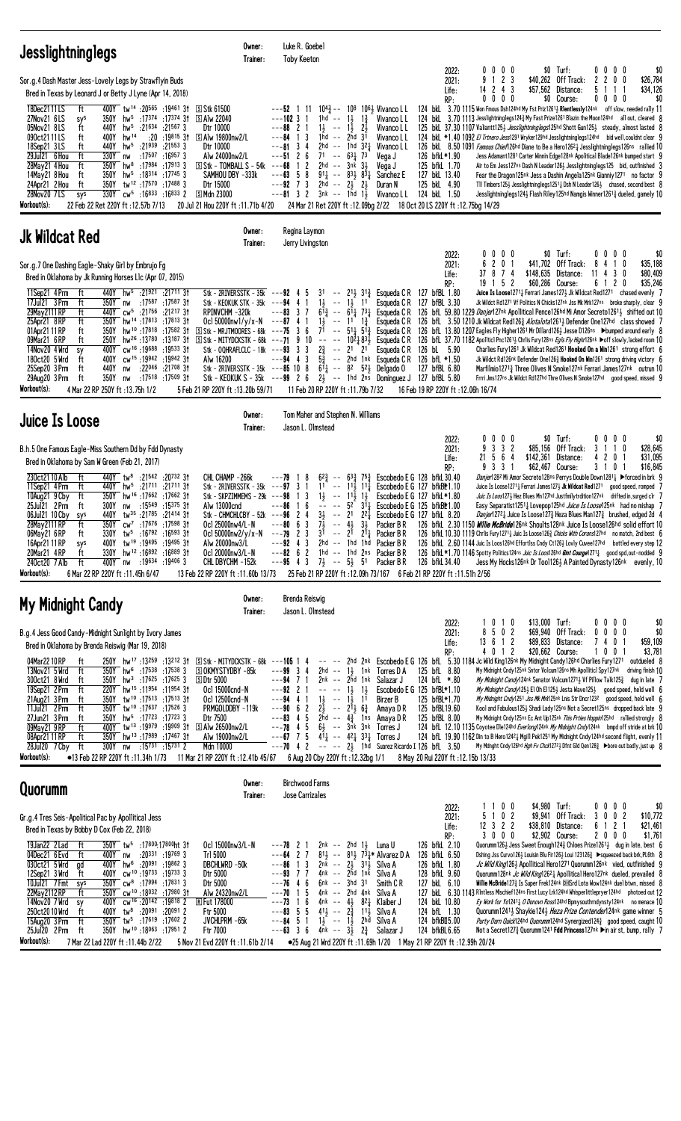| <b>Jesslightninglegs</b>                                                                                                                                                                                                                                                                                                                                                                                                                                                                                                                                                                                                                                                                                                                                                                                                                                                                                                                      | Owner:<br>Trainer:                                                                                                                                                                                                                                                                                                                                                                                                              | Luke R. Goebel<br><b>Toby Keeton</b>                                                                                                                                                                                                                                                                                                                                                                                                                               |                                                                                                                                                                                                                                                                                                                                                                                                                                                                                               |                                                                                                                                                                                        |                                                                                                                                                                   |                                                                                                                                                                                                                                                                                                                                                                                                                                                                                                                                                                                                                                                                                                                                                                                                                                                                                                                                                                                                                                                                                                                                                                                  |
|-----------------------------------------------------------------------------------------------------------------------------------------------------------------------------------------------------------------------------------------------------------------------------------------------------------------------------------------------------------------------------------------------------------------------------------------------------------------------------------------------------------------------------------------------------------------------------------------------------------------------------------------------------------------------------------------------------------------------------------------------------------------------------------------------------------------------------------------------------------------------------------------------------------------------------------------------|---------------------------------------------------------------------------------------------------------------------------------------------------------------------------------------------------------------------------------------------------------------------------------------------------------------------------------------------------------------------------------------------------------------------------------|--------------------------------------------------------------------------------------------------------------------------------------------------------------------------------------------------------------------------------------------------------------------------------------------------------------------------------------------------------------------------------------------------------------------------------------------------------------------|-----------------------------------------------------------------------------------------------------------------------------------------------------------------------------------------------------------------------------------------------------------------------------------------------------------------------------------------------------------------------------------------------------------------------------------------------------------------------------------------------|----------------------------------------------------------------------------------------------------------------------------------------------------------------------------------------|-------------------------------------------------------------------------------------------------------------------------------------------------------------------|----------------------------------------------------------------------------------------------------------------------------------------------------------------------------------------------------------------------------------------------------------------------------------------------------------------------------------------------------------------------------------------------------------------------------------------------------------------------------------------------------------------------------------------------------------------------------------------------------------------------------------------------------------------------------------------------------------------------------------------------------------------------------------------------------------------------------------------------------------------------------------------------------------------------------------------------------------------------------------------------------------------------------------------------------------------------------------------------------------------------------------------------------------------------------------|
| Sor.g.4 Dash Master Jess-Lovely Legs by Strawflyin Buds<br>Bred in Texas by Leonard J or Betty J Lyne (Apr 14, 2018)<br>18Dec2111LS<br>400Y tw <sup>14</sup> :20565 :19461 31<br>ft<br>27Nov21 6LS<br>350Y<br>hw <sup>5</sup> :17374:17374 31 SAlw 22040<br>sys<br>05Nov21 8LS<br>ft<br>440Y<br>hw <sup>5</sup><br>:21634 :21567 3<br>090ct2111LS<br>hw <sup>14</sup><br>400Y<br>ft<br>18Sep21 3LS<br>$hw^5$ :21939 :21553 3<br>ft<br>440Y<br>29Jul21 6 Hou<br>ft<br>330Y<br>:17507 :16957 3<br>nw<br>hw <sup>8</sup> :17984 :17913 3<br>350Y<br>28May 21 4 Hou<br>ft<br>350Y<br>$hw^5$ :18314 :17745 3<br>14May21 8 Hou<br>ft<br>24Apr21 2 Hou<br>350Y<br>tw <sup>12</sup> :17570:174883<br>ft<br>330Y cw <sup>5</sup> :16833 :16833 2<br>28Nov20 7LS<br>sys<br>Workout(s):<br>22 Feb 22 Ret 220Y ft: 12.57b 7/13                                                                                                                            | ි Stk 61500<br>Dtr 10000<br>:20 :19815 31 SAlw 19800nw2/L<br>Dtr 10000<br>Alw 24000nw2/L<br>$\boxed{5}$ Stk - TOMBALL S - 54k ---68<br>SAMHOU DBY -333k<br>Dtr 15000<br><u>5 Mdn 23000</u><br>20 Jul 21 Hou 220Y ft: 11.71b 4/20                                                                                                                                                                                                | $---52$ 1 11<br>$---10231$<br>$1hd - -$<br>$1\frac{1}{2}$ -- $1\frac{1}{2}$ $2\frac{1}{2}$<br>$---88221$<br>1hd -- 2hd 31<br>$---84$ 1 3<br>34<br>2hd<br>---81<br>$---5126$<br>$71 - 63173$<br>1 2<br>$2hd$ -- $3nk$ $3\frac{1}{2}$<br>---63<br>58<br>$91\frac{1}{4}$ -- $83\frac{1}{2}$ $83\frac{1}{4}$<br>$---92$ 7 3<br>2hd -- $2\frac{1}{2}$ $2\frac{1}{2}$<br>$---81 \quad 3 \quad 2$<br>$3nk$ -- 1hd 1 $\frac{1}{2}$                                         | $10^{4.3}$ -- $10^{8}$ $10^{6.1}$ Vivanco L L<br>$1\frac{1}{2}$ $1\frac{3}{4}$<br>Vivanco L L<br>Vivanco L L<br>Vivanco L L<br>$--$ 1hd 321<br>Vivanco L L<br>Vega J<br>Vega J<br>Sanchez E<br>Duran N<br>Vivanco L L<br>24 Mar 21 Ret 220Y ft: 12.09bg 2/22 18 Oct 20 LS 220Y ft: 12.75bg 14/29                                                                                                                                                                                              | 2022:<br>2021:<br>Life:<br>RP:<br>126 bfkL*1.90<br>125 bfkL 1.70<br>127 bkL 13.40<br>125 bkL 4.90<br>124 bkL 1.50                                                                      | $0\ 0\ 0\ 0$<br>9 1 2 3<br>$14$ 2 4 3<br>$0\ 0\ 0\ 0$                                                                                                             | $0\ 0\ 0\ 0$<br>\$0 Turf:<br>\$0<br>\$40,262 Off Track:<br>2200<br>\$26,784<br>\$57,562 Distance:<br>5 1<br>\$34,126<br>$\overline{1}$<br>-1<br>\$0 Course:<br>$0\ 0\ 0\ 0$<br>\$0<br>124 bkl 3.70 1115 Won Fmous Dsh124hd My Fst Priz12611 Rientlessly124nk off slow, needed rally 11<br>124 bkl 3.70 1113 Jesslightninglegs124 <sup>3</sup> My Fast Prize1261 Blazin the Moon124hd all out, cleared 8<br>125 bkl. 37.30 1107 Valiantt125} Jesslightninglegs125hd Shott Gun125} steady, almost lasted 8<br>124 bkl *1.40 1092 El Trtnero Jess1291 Wryker129hd Jesslightninglegs124hd bid well, couldnt clear 9<br>126 bkl 8.50 1091 Famous Chief126hd Diane to Be a Hero126 <sup>2</sup> 1 Jesslightninglegs126ns rallied 10<br>Jess Adamant1281 Carter Winnin Edge128nk Apolitical Blade126nk bumped start 9<br>Air to Em Jess127ns Dash N Leader1263 Jesslightninglegs125 bid, outfinished 3<br>Fear the Dragon125nk Jess a Dashin Angela125nk Gianniy1271 no factor 9<br>TII Timbers125 $\frac{1}{2}$ Jesslightninglegs1251 $\frac{1}{4}$ Dsh N Leader126 $\frac{1}{2}$ chased, second best 8<br>Jesslightninglegs124} Flash Riley125hd Namgis Winner12613 dueled, gamely 10 |
| <b>Jk Wildcat Red</b>                                                                                                                                                                                                                                                                                                                                                                                                                                                                                                                                                                                                                                                                                                                                                                                                                                                                                                                         | Owner:<br>Trainer:                                                                                                                                                                                                                                                                                                                                                                                                              | Regina Laymon<br>Jerry Livingston                                                                                                                                                                                                                                                                                                                                                                                                                                  |                                                                                                                                                                                                                                                                                                                                                                                                                                                                                               |                                                                                                                                                                                        |                                                                                                                                                                   |                                                                                                                                                                                                                                                                                                                                                                                                                                                                                                                                                                                                                                                                                                                                                                                                                                                                                                                                                                                                                                                                                                                                                                                  |
| Sor.g.7 One Dashing Eagle-Shaky Girl by Embrujo Fg<br>Bred in Oklahoma by Jk Running Horses L1c (Apr 07, 2015)<br>11Sep21 4Prm<br>440Y hw <sup>5</sup> :21921 :21711 31<br>ft<br>17Jul21 3 Prm<br>ft<br>350Y<br>17587; 17587;<br>nw<br>29May 2111 RP<br>ft<br>cw <sup>5</sup> :21756<br>:21217 31<br>440Y<br>25Apr21 8RP<br>ft<br>350Y hw <sup>14</sup> :17813:1781331<br>hw <sup>10</sup> :17818:175823t<br>01Apr21 11 RP<br>350Y<br>ft<br>09Mar21 6RP<br>250Y<br>hw <sup>26</sup> :13 <sup>780</sup><br>:13187 31<br>ft<br>14Nov20 4 Wrd<br>400Y<br>cw <sup>16</sup> :19688:1953331<br>sy<br>cw <sup>15</sup> :19942:1994231<br>400Y<br>180ct20 5 Wrd<br>ft<br>440Y<br>:22046 :21708 31<br>25Sep20 3 Prm<br>ft<br>nw<br>29Aug20 3 Prm<br>350Y<br>:17518 :17509 31<br>ft<br>nw<br>Workout(s):<br>4 Mar 22 RP 250Y ft : 13.75h 1/2                                                                                                            | Stk - 2RIVERSSTK - $35k$ ---92 4 5<br>Stk - KEOKUK STK - 35k --- <b>94</b> 4 1<br>RPINVCHM-320k<br>Ocl 50000nw1/y/x-N $---87$ 4 1<br>$S$ Stk - MRJTMOORES - 68k ---75 3 6<br>S Stk - MITYDCKSTK - 68k<br>Stk - OQHRAFLCLC - 18 $k$ ---93 3 3<br>Alw 16200<br>Stk - 2RIVERSSTK - 35k ---85 10 8<br>Stk - KEOKUK S - $35k$ --- $99$ 2 6 $2\frac{1}{2}$ -- 1hd 2ns Dominguez J 127 bfBL 5.80<br>5 Feb 21 RP 220Y ft : 13.20b 59/71 | $---83$ 3 7<br>$1\frac{1}{2}$<br>$---71$ 9 10<br>$\sim$ $-$<br>$2\frac{3}{4}$<br>$---94$ 4 3<br>11 Feb 20 RP 220Y ft :11.79b 7/32                                                                                                                                                                                                                                                                                                                                  | 31 -- $2^{11}$ 3 <sup>13</sup> / <sub>4</sub> Esqueda C R 127 bfBL 1.80<br>$1\frac{1}{2}$ -- $1\frac{1}{2}$ 11 Esqueda C R<br>$6^{13}$ -- $6^{11}$ $7^{31}$ Esqueda CR<br>$- - 11$ $1\frac{3}{4}$<br>Esqueda C R<br>71 -- $5^{11}$ 5 <sup>13</sup> / <sub>4</sub> Esqueda C R<br>$-$ 10 <sup>2</sup> / <sub>4</sub> 8 <sup>3</sup> / <sub>2</sub> Esqueda C R<br>$--$ 21 21<br>$5\frac{3}{4}$ -- 2hd 1nk Esqueda CR<br>$6\bar{1}_4$ -- 8 <sup>2</sup> 5 <sup>2</sup> / <sub>2</sub> Delgado 0 | 2022:<br>2021:<br>Life:<br>RP:<br>127 bfBL 3.30<br>Esqueda CR 126 bL 5.90<br>126 bfL *1.50<br>127 bfBL 6.80<br>16 Feb 19 RP 220Y ft: 12.06h 16/74                                      | $0\,$ $0\,$ $0\,$<br>0<br>201<br>6<br>37 8 7 4<br>$19$ 1 5 2                                                                                                      | \$0 Turf:<br>$0\ 0\ 0\ 0$<br>\$0<br>\$41,702 Off Track:<br>8<br>\$35,188<br>4<br>10<br>\$148,635 Distance:<br>3<br>\$80,409<br>-11<br>0<br>4<br>6 1 2 0<br>\$35,246<br>\$60,286 Course:<br><b>Juice Is Loose</b> 1271 $\frac{1}{4}$ Ferrari James 127 $\frac{1}{2}$ Jk Wildcat Red 1271 chased evenly 7<br>Jk Wildct Rd1271 Vf Politics N Chicks127nk Jss Mk Mrk127ns broke sharply, clear 9<br>126 bfl. 59.80 1229 Danjer127nk Apollitical Pence126hd Mi Amor Secreto12613 shifted out 10<br>126 bfL 3.50 1210 Jk Wildcat Red1263 Alotalota12613 Defender One127hd class showed 7<br>126 bfL 13.80 1207 Eagles Fly Higher 1261 Mr Dillard 126 & Jesse D126ns Dumped around early 8<br>126 bfL 37.70 1182 Apolitici Pnc1261 <sub>2</sub> Chrlis Fury128ns Egls Fly Highr126nk ▶off slowly, lacked room 10<br>Charlies Fury 1261 Jk Wildcat Red1261 Hooked On a Win1261 strong effort 6<br>Jk Wildct Rd126nk Defender One126 $\frac{3}{4}$ Hooked On Win1261 strong driving victory 6<br>Marfilmio 12713 Three Olives N Smoke 127nk Ferrari James 127nk outrun 10<br>Frrri Jms127ns Jk Wildct Rd127hd Thre Olives N Smoke127hd good speed, missed 9                               |
| <b>Juice Is Loose</b>                                                                                                                                                                                                                                                                                                                                                                                                                                                                                                                                                                                                                                                                                                                                                                                                                                                                                                                         | Owner:<br>Trainer:                                                                                                                                                                                                                                                                                                                                                                                                              | Tom Maher and Stephen N. Williams<br>Jason L. Olmstead                                                                                                                                                                                                                                                                                                                                                                                                             |                                                                                                                                                                                                                                                                                                                                                                                                                                                                                               |                                                                                                                                                                                        |                                                                                                                                                                   |                                                                                                                                                                                                                                                                                                                                                                                                                                                                                                                                                                                                                                                                                                                                                                                                                                                                                                                                                                                                                                                                                                                                                                                  |
| B.h.5 One Famous Eagle-Miss Southern Dd by Fdd Dynasty<br>Bred in Oklahoma by Sam W Green (Feb 21, 2017)<br>230ct2110 Alb<br>ft<br>440Y tw <sup>8</sup> :21542 :20732 31<br>11Sep21 4Prm<br>ft<br>440Y<br>hw <sup>5</sup> :21711 :21711 3t<br>350Y hw <sup>16</sup> :17662 :17662 31<br>10Aug21 9 Cby<br>ft<br>25Jul21 2 Prm<br>300Y<br>:15 <sup>549</sup> :15 <sup>375</sup> 31<br>ft<br>nw<br>440Y<br>tw <sup>35</sup> :21785:21414 3t<br>06Jul21 10 Cby<br>sys<br>350Y cw <sup>7</sup> :17676 :17598 3t<br>28May 2111 RP<br>ft<br>06May 21 6 RP<br>330Y tw <sup>5</sup> :16792 :16593 31<br>ft<br>400Y tw <sup>19</sup> :19495:1949531<br>16Apr21 11 RP<br>sys<br>hw <sup>12</sup> :16892:1688931<br>20Mar21 4RP<br>330Y<br>ft<br>:19634 :19406 3<br>240ct20 7 Alb<br>ft<br>400Y<br>nw<br>Workout(s):<br>6 Mar 22 RP 220Y ft :11.45h 6/47                                                                                                  | CHL CHAMP -266k<br>Stk - 2RIVERSSTK - 35k --- <b>97</b> 3 1<br>Stk - SKPZIMMEMS - 29 $k$ ---98<br>Alw 13000cnd<br>Stk – CHMCHLCBY – 52k –––96<br>Oc1 25000nw4/L-N<br>Ocl 50000nw2/y/x-N<br>Alw 20000nw3/L<br>Oc1 20000nw3/L-N<br>CHL DBYCHM -152k<br>13 Feb 22 RP 220Y ft: 11.60b 13/73                                                                                                                                         | $6^{2}\frac{3}{4}$<br>---79 18<br>$- -$<br>1 <sup>1</sup><br>$\sim$ $-$<br>$1\frac{1}{2}$<br>13<br>16<br>$\sim$ $\sim$<br>$3\frac{1}{2}$<br>$--$ 21<br>24<br>$7\frac{1}{2}$<br>---80<br>63<br>$- -$<br>$---79$ 2 3 3 <sup>1</sup> $---$<br>$---92$ 4 3<br>$---82$ 6 2 1hd $---1$ hd 2ns Packer BR<br>$-$ -95 4 3 7 <sup>1</sup> / <sub>2</sub> -- 5 <sup>1</sup> / <sub>2</sub> 51                                                                                 | $63\frac{3}{4}$ 75 $\frac{3}{4}$ Escobedo E G 128 bfkL 30.40<br>114 114 Escobedo E G 127 bfkB * 1.10<br>$ 11\overline{)}$ $1\overline{)}$<br>$ 52$ $31\overline{)}$<br>221<br>$4\frac{1}{2}$<br>$3\frac{1}{2}$<br>Packer B R<br>$2^{\frac{5}{1}}$ $2^{\frac{5}{4}}$ Packer B R<br>2hd $-$ 1hd 1hd Packer BR<br>Packer B R<br>25 Feb 21 RP 220Y ft: 12.09h 73/167 6 Feb 21 RP 220Y ft: 11.51h 2/56                                                                                             | 2022:<br>2021:<br>Life:<br>RP:<br>Escobedo E G 127 bfkL*1.80<br>Escobedo E G 125 bfkBL1.00<br>Escobedo E G 127 bfkL 8.20<br>126 bfkL 34.40                                             | 0<br>$0\,0\,0$<br>3 3 2<br>9<br>21 5 6 4<br>\$142,361<br>33<br>$\overline{1}$<br>9                                                                                | \$0 Turf:<br>$0\ 0\ 0\ 0$<br>\$0<br>\$85,156 Off Track:<br>\$28,645<br>3<br>$\overline{1}$<br>0<br>20<br>\$31,095<br>Distance:<br>4<br>-1<br>\$62,467 Course:<br>3 1 0<br>\$16,845<br>-1<br>Danjer128 <sup>2</sup> Mi Amor Secreto128ns Perrys Double Down12811 > forced in brk 9<br>Juice Is Loose1271 <sub>4</sub> Ferrari James127 <sub>3</sub> Jk Wildcat Red1271 good speed, romped 7<br>Juic Is Loos127} Hez Blues Mn127hd Justfmilytrdition127nk drifted in, surged clr 7<br>Easy Separatist12511 Lovepop125hd Juice Is Loose125nk had no mishap 7<br><i>Danjer</i> 1272 Juice Is Loose 127 Heza Blues Man 127 a brushed, edged 2d 4<br>126 bfkl. 2.30 1150 <i>Willie McBride</i> 126nk Shoults128nk Juice Is Loose126hd solid effort 10<br>126 bfkl 10.30 1119 Chrlis Fury 1271 <sup>1</sup> Juic Is Loose 126 <sup>2</sup> Chicks With Corons127hd no match, 2nd best 6<br>126 bfkL 2.60 1144 Juic Is Loos126hd Effortlss Cndy Ct126} Lovly Cuvee127hd battled every step 12<br>126 bfkL *1.70 1146 Spotty Politics 124ns Juic Is Loos126hd Gint Courge12711 good spd, out-nodded 9<br>Jess My Hocks126nk Dr Tool1263 A Painted Dynasty126nk evenly, 10                 |
| My Midnight Candy                                                                                                                                                                                                                                                                                                                                                                                                                                                                                                                                                                                                                                                                                                                                                                                                                                                                                                                             | Owner:<br>Trainer:                                                                                                                                                                                                                                                                                                                                                                                                              | Brenda Reiswig<br>Jason L. Olmstead                                                                                                                                                                                                                                                                                                                                                                                                                                |                                                                                                                                                                                                                                                                                                                                                                                                                                                                                               |                                                                                                                                                                                        |                                                                                                                                                                   |                                                                                                                                                                                                                                                                                                                                                                                                                                                                                                                                                                                                                                                                                                                                                                                                                                                                                                                                                                                                                                                                                                                                                                                  |
| B.g.4 Jess Good Candy-Midnight Sunlight by Ivory James<br>Bred in Oklahoma by Brenda Reiswig (Mar 19, 2018)<br>04Mar2210RP<br>250Y hw <sup>17</sup> :13 <sup>259</sup> :13 <sup>212</sup> 31<br>ft<br>$350Y$ hw <sup>6</sup> :17538 :17538 3<br>13Nov21 5 Wrd<br>ft<br>300ct21 8 Wrd<br>$350Y$ hw <sup>3</sup> :17625 :17625 3<br>ft<br>19Sep21 2 Prm<br>ft<br>220Y hw <sup>15</sup> :11954 :11954 31<br>21Aug21 3 Prm<br>350Y<br>tw <sup>10</sup> :17513 :17513 3t<br>ft<br>11Jul21 2Prm<br>350Y tw <sup>10</sup> :17637:17526 3<br>ft<br>350Y hw <sup>5</sup> :17723 :17723 3<br>27Jun21 3 Prm<br>ft<br>400Y tw <sup>13</sup> :19979 :19909 3t<br>09May21 9RP<br>ft<br>08Apr21 11 RP<br>350Y hw <sup>13</sup> :17989 :17467 31<br>ft<br>:15 <sup>731</sup> :15 <sup>731</sup> 2<br>28Jul20 7 Cby<br>ft<br>300Y<br>nw<br>Workout(s):<br>●13 Feb 22 RP 220Y ft:11.34h 1/73 11 Mar 21 RP 220Y ft:12.41b 45/67 6 Aug 20 Cby 220Y ft:12.32bg 1/1 | $S$ Stk - MITYDCKSTK - 68k ---105 1 4<br><b>SOKMYSTYDBY-85k</b><br><b>SDtr 5000</b><br>Ocl 15000cnd-N<br>Ocl 12500cnd-N<br>PRMGOLDDBY-119k<br>Dtr 7500<br>S Alw 26500nw2/L<br>Alw 19000nw2/L<br>Mdn 10000                                                                                                                                                                                                                       | $---99334$<br>$---94$ 7 1<br>$---92$ 2 1<br>$----1\frac{1}{2}$ 1 <sup>1</sup> / <sub>2</sub><br>$1\frac{1}{2}$ -- $1\frac{1}{2}$ 1 <sup>1</sup><br>$---94$ 4 1<br>$2\frac{2}{3}$ -- $2^{1}$ , $6\frac{3}{4}$<br>$---90$ 6 2<br>$---83$ 4 5 2hd $---4\frac{3}{4}$ 1ns Amaya D R<br>$---78$ 4 5 6} $---3nk$ 3nk Torres J<br>$---67$ 7 5 $4\overline{1}_4$ $-- 42\overline{1}_4$ $33\overline{1}_4$ Torres J<br>$---70$ 4 2 $---23$ 1hd Suarez Ricardo I 126 bfl 3.50 | 2hd $-- 1\frac{1}{2}$ 1nk Torres D A<br>2nk -- 2hd 1nk Salazar J<br>Birzer B<br>Amaya D R                                                                                                                                                                                                                                                                                                                                                                                                     | 2022:<br>2021:<br>Life:<br>RP:<br>125 bfL 8.80<br>124 bfL *.80<br>Escobedo E G 125 bfBL*1.10<br>125 bfBL*1.70<br>125 bfBL19.60<br>125 bfBL 8.00<br>8 May 20 Rui 220Y ft: 12.15b 13/33  | \$13,000 Turf:<br>0 1 0<br>8 5 0 2<br>13 6 1 2<br>4012<br>-- -- 2hd 2nk Escobedo E G 126 bfL 5.30 1184 Jc Wild King126nk My Midnight Candy126hd Charlies Fury1271 | \$0<br>0000<br>\$69,940 Off Track:<br>$0\ 0\ 0\ 0$<br>\$0<br>\$89,833 Distance:<br>7401<br>\$59,109<br>\$20,662 Course:<br>1001<br>\$3,781<br>outdueled 8<br>My Midnight Cndy 125nk Sntor Volcum126ns Mh Apolliticl Spy127nk driving finish 10<br>My Midnight Candy124nk Senator Volcum12713 Vf Pillow Talk1253 dug in late 7<br>My Midnight Candy125} El Oh E1125} Jesta Wave125} good speed, held well 6<br>My Midnight Cndy1251 Jss Mk Mrk125nk Lnis Str Dncr1232 good speed, held well 6<br>Kool and Fabulous125} Shadi Lady125ns Not a Secret125ns dropped back late 9<br>My Midnight Cndy 125ns Ec Ant Up125nk This Prties Hoppin125hd rallied strongly 8<br>124 bfl. 12.10 1135 Coyotee Dle124hd Everlong124nk My Midnight Cndy124nk bmpd off stride at brk 10<br>124 bfL 19.90 1162 Din to B Hero1242 } Mgill Pek1251 My Midnight Cndy124hd second flight, evenly 11<br>My Mdnght Cndy126hd Hgh Fv Chck1272} Dfnt Gld Qen128} ▶bore out badly, just up 8                                                                                                                                                                                                                 |
| Quorumm                                                                                                                                                                                                                                                                                                                                                                                                                                                                                                                                                                                                                                                                                                                                                                                                                                                                                                                                       | Owner:<br>Trainer:                                                                                                                                                                                                                                                                                                                                                                                                              | <b>Birchwood Farms</b><br>Jose Carrizales                                                                                                                                                                                                                                                                                                                                                                                                                          |                                                                                                                                                                                                                                                                                                                                                                                                                                                                                               |                                                                                                                                                                                        |                                                                                                                                                                   |                                                                                                                                                                                                                                                                                                                                                                                                                                                                                                                                                                                                                                                                                                                                                                                                                                                                                                                                                                                                                                                                                                                                                                                  |
| Gr.g.4 Tres Seis-Apolitical Pac by Apollitical Jess<br>Bred in Texas by Bobby D Cox (Feb 22, 2018)<br>19Jan22 2 Lad<br>350Y tw <sup>5</sup> :17800:17800ht 31<br>ft<br>04Dec21 6 Evd<br>:20331 :19769 3<br>ft<br>400Y nw<br>030ct21 5 Wrd<br>400Y hw <sup>6</sup> :20091 :19862 3<br>gd<br>12Sep21 3 Wrd<br>cw <sup>10</sup> :19733:197333<br>400Y<br>ft<br>10Jul21 7 Fmt<br>$350Y$ cw <sup>8</sup> :17994 :17831 3<br>sys<br>cw <sup>10</sup> :18032 :17980 3t<br>22May 2112 RP<br>350Y<br>ft<br>14Nov20 7 Wrd<br>CW <sup>16</sup> :20142:198182<br>400Y<br>sy<br>250ct2010 Wrd<br>tw <sup>8</sup> :20 <sup>091</sup> :20 <sup>091</sup> 2<br>ft<br>400Y<br>15Aug20 3 Prm<br>ft<br>350Y tw <sup>5</sup> :17619 :17602 2<br>25Jul20 2 Prm<br>350Y hw <sup>10</sup> :18063 :17951 2<br>ft<br>Workout(s):<br>7 Mar 22 Lad 220Y ft: 11.44b 2/22                                                                                                  | Ocl 15000nw3/L-N<br>Tr1 5000<br>DBCHLWRD -50k<br>Dtr 5000<br>Dtr 5000<br>Alw 24320nw2/L<br><b>R</b> Fut 178000<br>Ftr 5000<br>JVCHLPRM -65k<br>Ftr 7000<br>5 Nov 21 Evd 220Y ft: 11.61b 2/14                                                                                                                                                                                                                                    | $---78$ 2 1<br>$--64$ 2 7<br>$---86$ 1 3<br>$--93$ 7 7<br>$---76$ 4 6<br>$6nk$ -- $3hd$ $31$<br>$---70$ 1 5<br>$---73$ 1 6<br>$--83$ 5 5<br>$---84$ 5 1 1 $\frac{1}{2}$ -- 1 $\frac{1}{2}$ 2hd Silva A<br>$---63$ 3 6 $4\bar{m}k$ $---3\frac{1}{2}$ $2\frac{3}{4}$ Salazar J                                                                                                                                                                                       | $2nk$ -- $2hd$ $1\frac{1}{2}$ Luna U<br>$8^{1\frac{1}{2}}$ -- $8^{1\frac{1}{2}}$ 7 $3^{1\frac{1}{4}}$ Alvarez D A<br>$2n\bar{k}$ -- $2\bar{j}$ $31\bar{j}$ Silva A<br>4nk -- 2hd 1nk Silva A<br>Smith C R<br>4nk -- 2hd 4nk Silva A<br>4nk -- $4\frac{1}{2}$ 8 <sup>2</sup> $\frac{1}{4}$ Klaiber J<br>411 -- 23 111 Silva A<br>●25 Aug 21 Wrd 220Y ft: 11.69h 1/20 1 May 21 RP 220Y ft: 12.99h 20/24                                                                                         | 2022:<br>2021:<br>Life:<br>RP:<br>126 bfkL 2.10<br>126 bfkL 6.50<br>126 bfkL 1.80<br>128 bfkL 9.60<br>127 bkL 6.10<br>124 bkL 10.80<br>124 bfL 1.30<br>124 bfkBI15.00<br>124 bfkBL6.65 | 100<br>5 1 0 2<br>$12$ 3 2 2<br>3000                                                                                                                              | \$4,980 Turf:<br>\$0<br>$0\,0\,0\,0$<br>\$9,941 Off Track:<br>3 0 0 2<br>\$10,772<br>\$38,810 Distance:<br>6 1 2 1<br>\$21,461<br>\$2,902 Course:<br>\$1,761<br>2000<br>Quorumm126} Jess Sweet Enough124} Chloes Prize1261} dug in late, best 6<br>Dshing Jss Curvo126} Louisin Blu Fir126} Loui 123126} ▶squeezed back brk, PL6th 8<br>Jc Wild King126} Apollitical Hero1271 Quorumm126nk vied, outfinished 9<br>Quorumm128nk <i>Jc Wild King</i> 12621 Apollitical Hero127nk dueled, prevailed 8<br>Willie McBride127 $\frac{3}{4}$ Is Super Frek124nk @HSrd Lota Wow124nk due1 btwn, missed 8<br>127 bkL 6.30 1143 Rintless Mischief124ns First Lucy Lrk124hd Whisperlittlepryer124hd photoed out 12<br>Ey Work for Yo12411 0 Donovn Ross124hd Bpmysouthrndynsty124nk no menace 10<br>Quorumm1241} Shaykie124} Heza Prize Contender124nk game winner 5<br>Purty Darn Quick124hd Quorumm124hd Synergized1243 good speed, caught 10<br>Not a Secret1273 Quorumm1241 Fdd Princess127nk ▶in air st, bump, rally 7                                                                                                                                                                 |